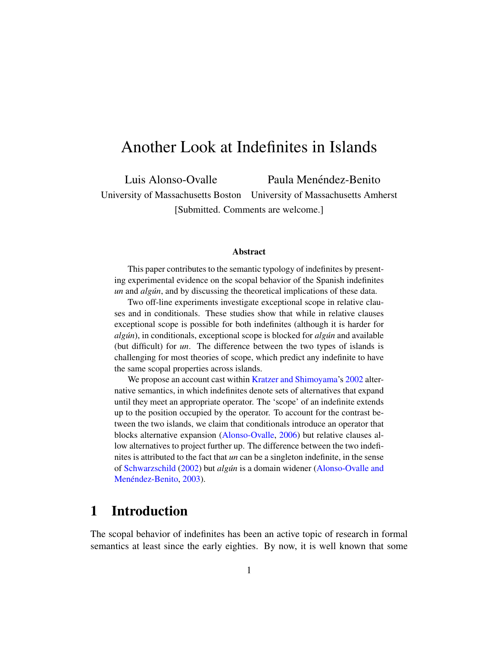# <span id="page-0-0"></span>Another Look at Indefinites in Islands

Luis Alonso-Ovalle Paula Menéndez-Benito

University of Massachusetts Boston University of Massachusetts Amherst [Submitted. Comments are welcome.]

#### Abstract

This paper contributes to the semantic typology of indefinites by presenting experimental evidence on the scopal behavior of the Spanish indefinites *un* and *algun*, and by discussing the theoretical implications of these data.

Two off-line experiments investigate exceptional scope in relative clauses and in conditionals. These studies show that while in relative clauses exceptional scope is possible for both indefinites (although it is harder for *algún*), in conditionals, exceptional scope is blocked for *algún* and available (but difficult) for *un*. The difference between the two types of islands is challenging for most theories of scope, which predict any indefinite to have the same scopal properties across islands.

We propose an account cast within [Kratzer and Shimoyama'](#page-54-0)s [2002](#page-54-0) alternative semantics, in which indefinites denote sets of alternatives that expand until they meet an appropriate operator. The 'scope' of an indefinite extends up to the position occupied by the operator. To account for the contrast between the two islands, we claim that conditionals introduce an operator that blocks alternative expansion [\(Alonso-Ovalle,](#page-51-0) [2006\)](#page-51-0) but relative clauses allow alternatives to project further up. The difference between the two indefinites is attributed to the fact that *un* can be a singleton indefinite, in the sense of [Schwarzschild](#page-55-0) [\(2002\)](#page-55-0) but *algun´* is a domain widener [\(Alonso-Ovalle and](#page-51-1) Menéndez-Benito, [2003\)](#page-51-1).

# 1 Introduction

The scopal behavior of indefinites has been an active topic of research in formal semantics at least since the early eighties. By now, it is well known that some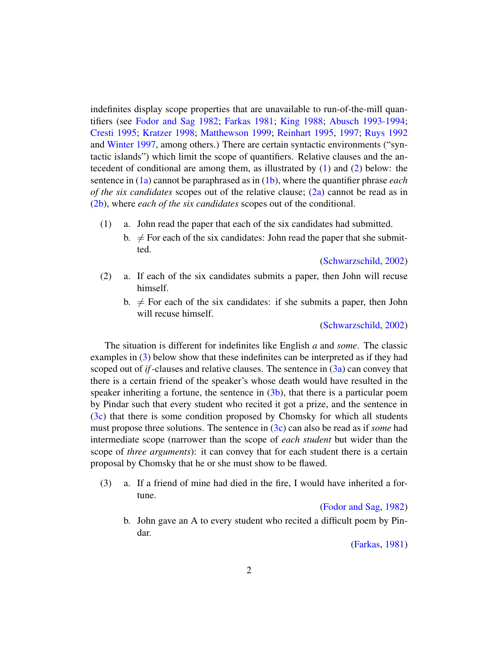indefinites display scope properties that are unavailable to run-of-the-mill quantifiers (see [Fodor and Sag](#page-52-0) [1982;](#page-52-0) [Farkas](#page-52-1) [1981;](#page-52-1) [King](#page-54-1) [1988;](#page-54-1) [Abusch](#page-51-2) [1993-1994;](#page-51-2) [Cresti](#page-51-3) [1995;](#page-51-3) [Kratzer](#page-54-2) [1998;](#page-54-2) [Matthewson](#page-54-3) [1999;](#page-54-3) [Reinhart](#page-55-1) [1995,](#page-55-1) [1997;](#page-55-2) [Ruys](#page-55-3) [1992](#page-55-3) and [Winter](#page-55-4) [1997,](#page-55-4) among others.) There are certain syntactic environments ("syntactic islands") which limit the scope of quantifiers. Relative clauses and the antecedent of conditional are among them, as illustrated by [\(1\)](#page-1-0) and [\(2\)](#page-1-1) below: the sentence in [\(1a\)](#page-1-0) cannot be paraphrased as in [\(1b\)](#page-1-2), where the quantifier phrase *each of the six candidates* scopes out of the relative clause; [\(2a\)](#page-1-1) cannot be read as in [\(2b\)](#page-1-3), where *each of the six candidates* scopes out of the conditional.

- <span id="page-1-2"></span><span id="page-1-0"></span>(1) a. John read the paper that each of the six candidates had submitted.
	- b.  $\neq$  For each of the six candidates: John read the paper that she submitted.

[\(Schwarzschild,](#page-55-0) [2002\)](#page-55-0)

- <span id="page-1-3"></span><span id="page-1-1"></span>(2) a. If each of the six candidates submits a paper, then John will recuse himself.
	- b.  $\neq$  For each of the six candidates: if she submits a paper, then John will recuse himself.

[\(Schwarzschild,](#page-55-0) [2002\)](#page-55-0)

The situation is different for indefinites like English *a* and *some*. The classic examples in [\(3\)](#page-1-4) below show that these indefinites can be interpreted as if they had scoped out of *if*-clauses and relative clauses. The sentence in [\(3a\)](#page-1-4) can convey that there is a certain friend of the speaker's whose death would have resulted in the speaker inheriting a fortune, the sentence in  $(3b)$ , that there is a particular poem by Pindar such that every student who recited it got a prize, and the sentence in [\(3c\)](#page-2-0) that there is some condition proposed by Chomsky for which all students must propose three solutions. The sentence in [\(3c\)](#page-2-0) can also be read as if *some* had intermediate scope (narrower than the scope of *each student* but wider than the scope of *three arguments*): it can convey that for each student there is a certain proposal by Chomsky that he or she must show to be flawed.

<span id="page-1-4"></span>(3) a. If a friend of mine had died in the fire, I would have inherited a fortune.

[\(Fodor and Sag,](#page-52-0) [1982\)](#page-52-0)

<span id="page-1-5"></span>b. John gave an A to every student who recited a difficult poem by Pindar.

[\(Farkas,](#page-52-1) [1981\)](#page-52-1)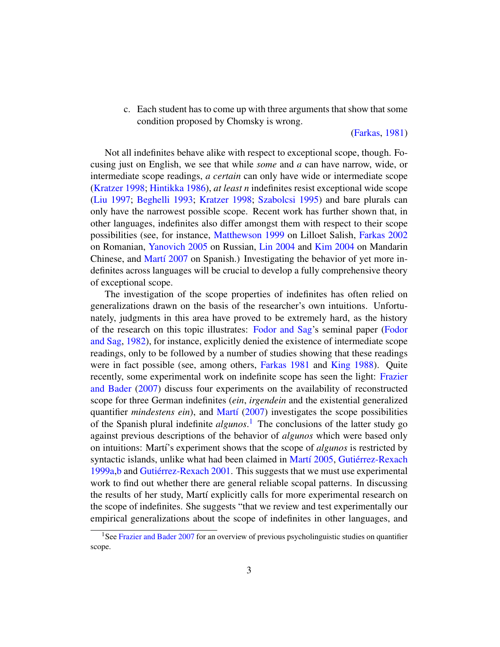<span id="page-2-0"></span>c. Each student has to come up with three arguments that show that some condition proposed by Chomsky is wrong.

#### [\(Farkas,](#page-52-1) [1981\)](#page-52-1)

Not all indefinites behave alike with respect to exceptional scope, though. Focusing just on English, we see that while *some* and *a* can have narrow, wide, or intermediate scope readings, *a certain* can only have wide or intermediate scope [\(Kratzer](#page-54-2) [1998;](#page-54-2) [Hintikka](#page-53-0) [1986\)](#page-53-0), *at least n* indefinites resist exceptional wide scope [\(Liu](#page-54-4) [1997;](#page-54-4) [Beghelli](#page-51-4) [1993;](#page-51-4) [Kratzer](#page-54-2) [1998;](#page-54-2) [Szabolcsi](#page-55-5) [1995\)](#page-55-5) and bare plurals can only have the narrowest possible scope. Recent work has further shown that, in other languages, indefinites also differ amongst them with respect to their scope possibilities (see, for instance, [Matthewson](#page-54-3) [1999](#page-54-3) on Lilloet Salish, [Farkas](#page-52-2) [2002](#page-52-2) on Romanian, [Yanovich](#page-55-6) [2005](#page-55-6) on Russian, [Lin](#page-54-5) [2004](#page-54-5) and [Kim](#page-53-1) [2004](#page-53-1) on Mandarin Chinese, and Martí [2007](#page-54-6) on Spanish.) Investigating the behavior of yet more indefinites across languages will be crucial to develop a fully comprehensive theory of exceptional scope.

The investigation of the scope properties of indefinites has often relied on generalizations drawn on the basis of the researcher's own intuitions. Unfortunately, judgments in this area have proved to be extremely hard, as the history of the research on this topic illustrates: [Fodor and Sag'](#page-52-0)s seminal paper [\(Fodor](#page-52-0) [and Sag,](#page-52-0) [1982\)](#page-52-0), for instance, explicitly denied the existence of intermediate scope readings, only to be followed by a number of studies showing that these readings were in fact possible (see, among others, [Farkas](#page-52-1) [1981](#page-52-1) and [King](#page-54-1) [1988\)](#page-54-1). Quite recently, some experimental work on indefinite scope has seen the light: [Frazier](#page-52-3) [and Bader](#page-52-3) [\(2007\)](#page-52-3) discuss four experiments on the availability of reconstructed scope for three German indefinites (*ein*, *irgendein* and the existential generalized quantifier *mindestens ein*), and Martí [\(2007\)](#page-54-6) investigates the scope possibilities of the Spanish plural indefinite *algunos*. [1](#page-0-0) The conclusions of the latter study go against previous descriptions of the behavior of *algunos* which were based only on intuitions: Mart´ı's experiment shows that the scope of *algunos* is restricted by syntactic islands, unlike what had been claimed in Martí [2005,](#page-54-7) Gutiérrez-Rexach [1999a](#page-52-4)[,b](#page-52-5) and Gutiérrez-Rexach [2001.](#page-53-2) This suggests that we must use experimental work to find out whether there are general reliable scopal patterns. In discussing the results of her study, Martí explicitly calls for more experimental research on the scope of indefinites. She suggests "that we review and test experimentally our empirical generalizations about the scope of indefinites in other languages, and

<sup>&</sup>lt;sup>1</sup>See [Frazier and Bader](#page-52-3) [2007](#page-52-3) for an overview of previous psycholinguistic studies on quantifier scope.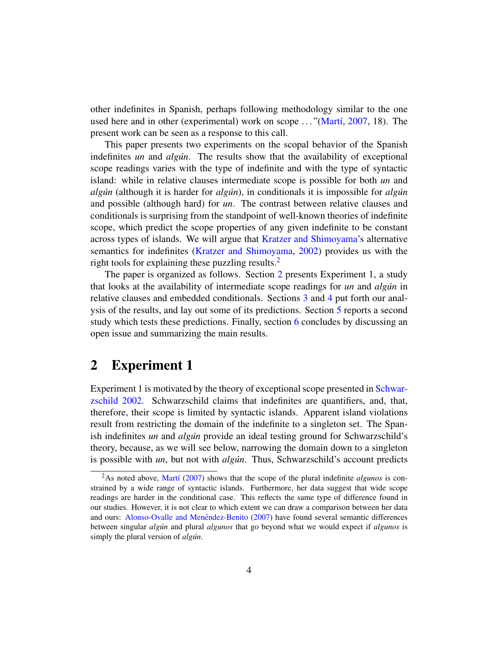other indefinites in Spanish, perhaps following methodology similar to the one used here and in other (experimental) work on scope  $\ldots$  "(Martí, [2007,](#page-54-6) 18). The present work can be seen as a response to this call.

This paper presents two experiments on the scopal behavior of the Spanish indefinites *un* and *algun*. The results show that the availability of exceptional scope readings varies with the type of indefinite and with the type of syntactic island: while in relative clauses intermediate scope is possible for both *un* and *algun´* (although it is harder for *algun´* ), in conditionals it is impossible for *algun´* and possible (although hard) for *un*. The contrast between relative clauses and conditionals is surprising from the standpoint of well-known theories of indefinite scope, which predict the scope properties of any given indefinite to be constant across types of islands. We will argue that [Kratzer and Shimoyama'](#page-54-0)s alternative semantics for indefinites [\(Kratzer and Shimoyama,](#page-54-0) [2002\)](#page-54-0) provides us with the right tools for explaining these puzzling results.<sup>[2](#page-0-0)</sup>

The paper is organized as follows. Section [2](#page-3-0) presents Experiment 1, a study that looks at the availability of intermediate scope readings for *un* and *algun´* in relative clauses and embedded conditionals. Sections [3](#page-16-0) and [4](#page-27-0) put forth our analysis of the results, and lay out some of its predictions. Section [5](#page-29-0) reports a second study which tests these predictions. Finally, section [6](#page-40-0) concludes by discussing an open issue and summarizing the main results.

# <span id="page-3-0"></span>2 Experiment 1

Experiment 1 is motivated by the theory of exceptional scope presented in [Schwar](#page-55-0)[zschild](#page-55-0) [2002.](#page-55-0) Schwarzschild claims that indefinites are quantifiers, and, that, therefore, their scope is limited by syntactic islands. Apparent island violations result from restricting the domain of the indefinite to a singleton set. The Spanish indefinites *un* and *algun* provide an ideal testing ground for Schwarzschild's theory, because, as we will see below, narrowing the domain down to a singleton is possible with *un*, but not with *algun*. Thus, Schwarzschild's account predicts

<sup>&</sup>lt;sup>2</sup>As noted above, Martí [\(2007\)](#page-54-6) shows that the scope of the plural indefinite *algunos* is constrained by a wide range of syntactic islands. Furthermore, her data suggest that wide scope readings are harder in the conditional case. This reflects the same type of difference found in our studies. However, it is not clear to which extent we can draw a comparison between her data and ours: Alonso-Ovalle and Menéndez-Benito [\(2007\)](#page-51-5) have found several semantic differences between singular *algun´* and plural *algunos* that go beyond what we would expect if *algunos* is simply the plural version of *algun*.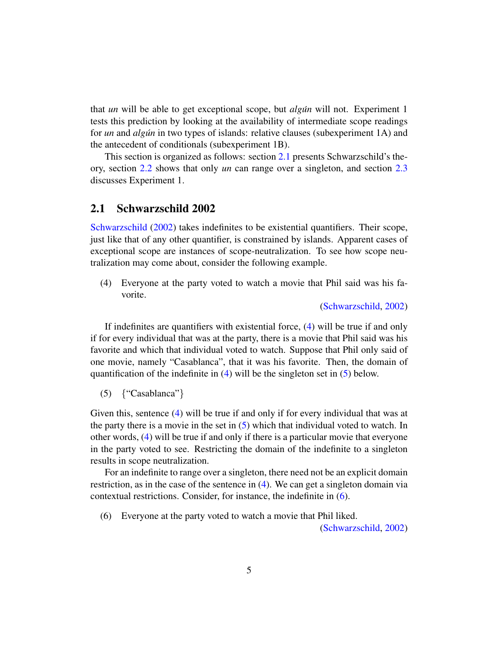that *un* will be able to get exceptional scope, but *algun´* will not. Experiment 1 tests this prediction by looking at the availability of intermediate scope readings for *un* and *algun* in two types of islands: relative clauses (subexperiment 1A) and the antecedent of conditionals (subexperiment 1B).

This section is organized as follows: section [2.1](#page-4-0) presents Schwarzschild's theory, section [2.2](#page-6-0) shows that only *un* can range over a singleton, and section [2.3](#page-8-0) discusses Experiment 1.

### <span id="page-4-0"></span>2.1 Schwarzschild 2002

[Schwarzschild](#page-55-0) [\(2002\)](#page-55-0) takes indefinites to be existential quantifiers. Their scope, just like that of any other quantifier, is constrained by islands. Apparent cases of exceptional scope are instances of scope-neutralization. To see how scope neutralization may come about, consider the following example.

<span id="page-4-1"></span>(4) Everyone at the party voted to watch a movie that Phil said was his favorite.

[\(Schwarzschild,](#page-55-0) [2002\)](#page-55-0)

If indefinites are quantifiers with existential force, [\(4\)](#page-4-1) will be true if and only if for every individual that was at the party, there is a movie that Phil said was his favorite and which that individual voted to watch. Suppose that Phil only said of one movie, namely "Casablanca", that it was his favorite. Then, the domain of quantification of the indefinite in [\(4\)](#page-4-1) will be the singleton set in [\(5\)](#page-4-2) below.

<span id="page-4-2"></span>(5) {"Casablanca"}

Given this, sentence [\(4\)](#page-4-1) will be true if and only if for every individual that was at the party there is a movie in the set in [\(5\)](#page-4-2) which that individual voted to watch. In other words, [\(4\)](#page-4-1) will be true if and only if there is a particular movie that everyone in the party voted to see. Restricting the domain of the indefinite to a singleton results in scope neutralization.

For an indefinite to range over a singleton, there need not be an explicit domain restriction, as in the case of the sentence in [\(4\)](#page-4-1). We can get a singleton domain via contextual restrictions. Consider, for instance, the indefinite in [\(6\)](#page-4-3).

<span id="page-4-3"></span>(6) Everyone at the party voted to watch a movie that Phil liked.

[\(Schwarzschild,](#page-55-0) [2002\)](#page-55-0)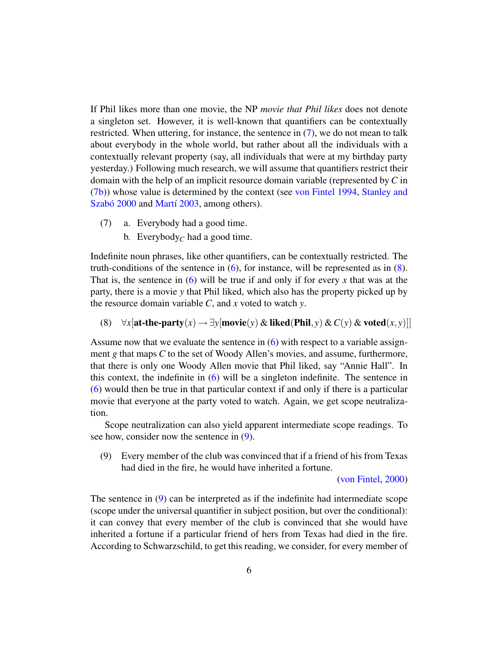If Phil likes more than one movie, the NP *movie that Phil likes* does not denote a singleton set. However, it is well-known that quantifiers can be contextually restricted. When uttering, for instance, the sentence in [\(7\)](#page-5-0), we do not mean to talk about everybody in the whole world, but rather about all the individuals with a contextually relevant property (say, all individuals that were at my birthday party yesterday.) Following much research, we will assume that quantifiers restrict their domain with the help of an implicit resource domain variable (represented by *C* in [\(7b\)](#page-5-1)) whose value is determined by the context (see [von Fintel](#page-52-6) [1994,](#page-52-6) [Stanley and](#page-55-7) Szabó [2000](#page-55-7) and Martí [2003,](#page-54-8) among others).

- <span id="page-5-1"></span><span id="page-5-0"></span>(7) a. Everybody had a good time.
	- b. Everybody<sub>*C*</sub> had a good time.

Indefinite noun phrases, like other quantifiers, can be contextually restricted. The truth-conditions of the sentence in  $(6)$ , for instance, will be represented as in  $(8)$ . That is, the sentence in  $(6)$  will be true if and only if for every x that was at the party, there is a movie *y* that Phil liked, which also has the property picked up by the resource domain variable *C*, and *x* voted to watch *y*.

<span id="page-5-2"></span>(8)  $\forall x$ [at-the-party(*x*) →  $\exists y$ [movie(*y*) & liked(Phil, *y*) & *C*(*y*) & voted(*x*, *y*)]]

Assume now that we evaluate the sentence in [\(6\)](#page-4-3) with respect to a variable assignment *g* that maps *C* to the set of Woody Allen's movies, and assume, furthermore, that there is only one Woody Allen movie that Phil liked, say "Annie Hall". In this context, the indefinite in [\(6\)](#page-4-3) will be a singleton indefinite. The sentence in [\(6\)](#page-4-3) would then be true in that particular context if and only if there is a particular movie that everyone at the party voted to watch. Again, we get scope neutralization.

Scope neutralization can also yield apparent intermediate scope readings. To see how, consider now the sentence in [\(9\)](#page-5-3).

<span id="page-5-3"></span>(9) Every member of the club was convinced that if a friend of his from Texas had died in the fire, he would have inherited a fortune.

[\(von Fintel,](#page-52-7) [2000\)](#page-52-7)

The sentence in [\(9\)](#page-5-3) can be interpreted as if the indefinite had intermediate scope (scope under the universal quantifier in subject position, but over the conditional): it can convey that every member of the club is convinced that she would have inherited a fortune if a particular friend of hers from Texas had died in the fire. According to Schwarzschild, to get this reading, we consider, for every member of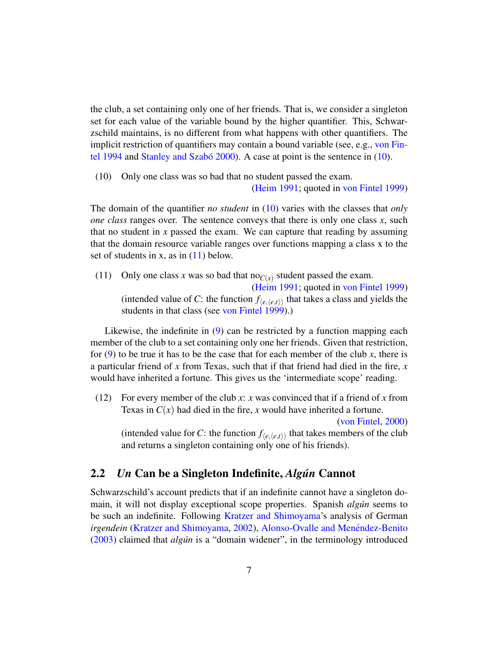the club, a set containing only one of her friends. That is, we consider a singleton set for each value of the variable bound by the higher quantifier. This, Schwarzschild maintains, is no different from what happens with other quantifiers. The implicit restriction of quantifiers may contain a bound variable (see, e.g., [von Fin](#page-52-6)[tel](#page-52-6) [1994](#page-52-6) and Stanley and Szabó [2000\)](#page-55-7). A case at point is the sentence in  $(10)$ .

<span id="page-6-1"></span>(10) Only one class was so bad that no student passed the exam.

[\(Heim](#page-53-3) [1991;](#page-53-3) quoted in [von Fintel](#page-52-8) [1999\)](#page-52-8)

The domain of the quantifier *no student* in [\(10\)](#page-6-1) varies with the classes that *only one class* ranges over. The sentence conveys that there is only one class *x*, such that no student in  $x$  passed the exam. We can capture that reading by assuming that the domain resource variable ranges over functions mapping a class x to the set of students in x, as in  $(11)$  below.

<span id="page-6-2"></span>(11) Only one class *x* was so bad that  $\text{no}_{C(x)}$  student passed the exam. [\(Heim](#page-53-3) [1991;](#page-53-3) quoted in [von Fintel](#page-52-8) [1999\)](#page-52-8) (intended value of *C*: the function  $f_{\langle e, \langle e, t \rangle}$  that takes a class and yields the students in that class (see [von Fintel](#page-52-8) [1999\)](#page-52-8).)

Likewise, the indefinite in [\(9\)](#page-5-3) can be restricted by a function mapping each member of the club to a set containing only one her friends. Given that restriction, for  $(9)$  to be true it has to be the case that for each member of the club *x*, there is a particular friend of *x* from Texas, such that if that friend had died in the fire, *x* would have inherited a fortune. This gives us the 'intermediate scope' reading.

(12) For every member of the club *x*: *x* was convinced that if a friend of *x* from Texas in  $C(x)$  had died in the fire, x would have inherited a fortune. [\(von Fintel,](#page-52-7) [2000\)](#page-52-7)

(intended value for *C*: the function  $f_{\langle e, \langle e, t \rangle}$  that takes members of the club and returns a singleton containing only one of his friends).

## <span id="page-6-0"></span>2.2 *Un* Can be a Singleton Indefinite, *Algun´* Cannot

Schwarzschild's account predicts that if an indefinite cannot have a singleton domain, it will not display exceptional scope properties. Spanish *algún* seems to be such an indefinite. Following [Kratzer and Shimoyama'](#page-54-0)s analysis of German *irgendein* [\(Kratzer and Shimoyama,](#page-54-0) [2002\)](#page-54-0), Alonso-Ovalle and Menéndez-Benito [\(2003\)](#page-51-1) claimed that *algun´* is a "domain widener", in the terminology introduced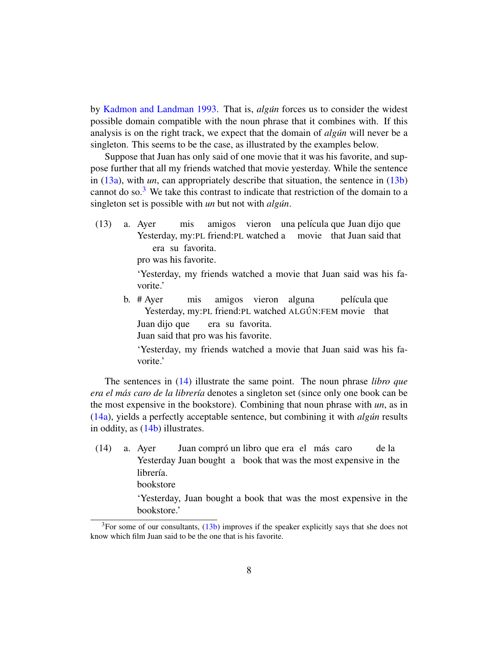by [Kadmon and Landman](#page-53-4) [1993.](#page-53-4) That is, *algun´* forces us to consider the widest possible domain compatible with the noun phrase that it combines with. If this analysis is on the right track, we expect that the domain of *algun* will never be a singleton. This seems to be the case, as illustrated by the examples below.

Suppose that Juan has only said of one movie that it was his favorite, and suppose further that all my friends watched that movie yesterday. While the sentence in [\(13a\)](#page-7-0), with *un*, can appropriately describe that situation, the sentence in [\(13b\)](#page-7-1) cannot do so.<sup>[3](#page-0-0)</sup> We take this contrast to indicate that restriction of the domain to a singleton set is possible with *un* but not with *algun*.

<span id="page-7-0"></span>(13) a. Ayer Yesterday, my:PL friend:PL watched a movie that Juan said that mis amigos vieron una película que Juan dijo que era su favorita.

pro was his favorite.

'Yesterday, my friends watched a movie that Juan said was his favorite.'

<span id="page-7-1"></span>b. # Ayer Yesterday, my:PL friend:PL watched ALGÚN:FEM movie that mis amigos vieron alguna película que Juan dijo que Juan said that pro was his favorite. era su favorita.

'Yesterday, my friends watched a movie that Juan said was his favorite.'

The sentences in [\(14\)](#page-7-2) illustrate the same point. The noun phrase *libro que era el más caro de la librería* denotes a singleton set (since only one book can be the most expensive in the bookstore). Combining that noun phrase with *un*, as in [\(14a\)](#page-7-2), yields a perfectly acceptable sentence, but combining it with *algun´* results in oddity, as [\(14b\)](#page-8-1) illustrates.

<span id="page-7-2"></span>(14) a. Ayer Yesterday Juan bought a book that was the most expensive in the Juan compró un libro que era el más caro de la librería. bookstore

> 'Yesterday, Juan bought a book that was the most expensive in the bookstore.'

 $3$ For some of our consultants,  $(13b)$  improves if the speaker explicitly says that she does not know which film Juan said to be the one that is his favorite.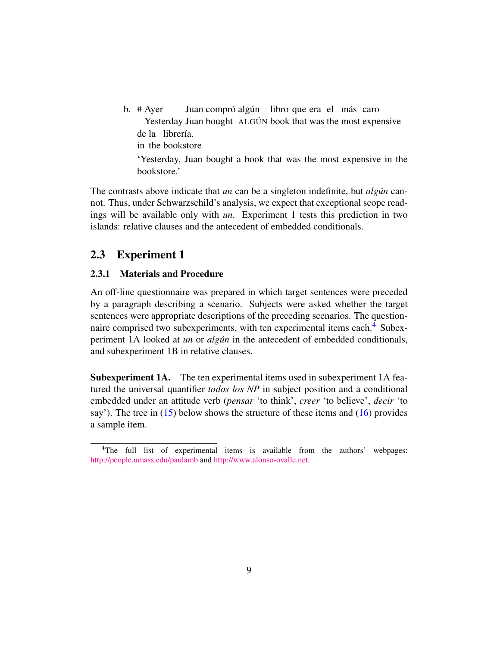<span id="page-8-1"></span>b. # Ayer Yesterday Juan bought ALGÚN book that was the most expensive Juan compró algún libro que era el más caro de la librería. in the bookstore 'Yesterday, Juan bought a book that was the most expensive in the bookstore.'

The contrasts above indicate that *un* can be a singleton indefinite, but *algun* cannot. Thus, under Schwarzschild's analysis, we expect that exceptional scope readings will be available only with *un*. Experiment 1 tests this prediction in two islands: relative clauses and the antecedent of embedded conditionals.

## <span id="page-8-0"></span>2.3 Experiment 1

### 2.3.1 Materials and Procedure

An off-line questionnaire was prepared in which target sentences were preceded by a paragraph describing a scenario. Subjects were asked whether the target sentences were appropriate descriptions of the preceding scenarios. The question-naire comprised two subexperiments, with ten experimental items each.<sup>[4](#page-0-0)</sup> Subexperiment 1A looked at *un* or *algun* in the antecedent of embedded conditionals, and subexperiment 1B in relative clauses.

Subexperiment 1A. The ten experimental items used in subexperiment 1A featured the universal quantifier *todos los NP* in subject position and a conditional embedded under an attitude verb (*pensar* 'to think', *creer* 'to believe', *decir* 'to say'). The tree in  $(15)$  below shows the structure of these items and  $(16)$  provides a sample item.

<span id="page-8-2"></span><sup>&</sup>lt;sup>4</sup>The full list of experimental items is available from the authors' webpages: <http://people.umass.edu/paulamb> and <http://www.alonso-ovalle.net.>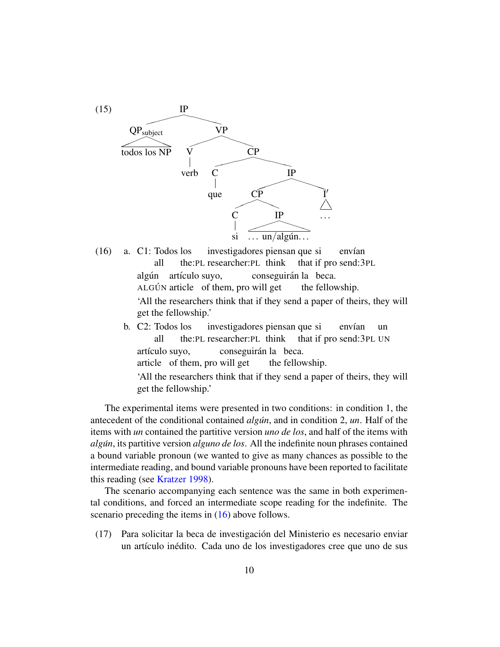

- <span id="page-9-0"></span>(16) a. C1: Todos los all the:PL researcher:PL think investigadores piensan que si that if pro send:3PL envían algún artículo suyo, ALGÚN article of them, pro will get conseguirán la beca. the fellowship. 'All the researchers think that if they send a paper of theirs, they will get the fellowship.' b. C2: Todos los investigadores piensan que si envían un
	- all the:PL researcher:PL think that if pro send:3PL UN artículo suyo, article of them, pro will get conseguirán la beca. the fellowship. 'All the researchers think that if they send a paper of theirs, they will get the fellowship.'

The experimental items were presented in two conditions: in condition 1, the antecedent of the conditional contained *algun*, and in condition 2, *un*. Half of the items with *un* contained the partitive version *uno de los*, and half of the items with *algun´* , its partitive version *alguno de los*. All the indefinite noun phrases contained a bound variable pronoun (we wanted to give as many chances as possible to the intermediate reading, and bound variable pronouns have been reported to facilitate this reading (see [Kratzer](#page-54-2) [1998\)](#page-54-2).

The scenario accompanying each sentence was the same in both experimental conditions, and forced an intermediate scope reading for the indefinite. The scenario preceding the items in  $(16)$  above follows.

(17) Para solicitar la beca de investigacion del Ministerio es necesario enviar ´ un artículo inédito. Cada uno de los investigadores cree que uno de sus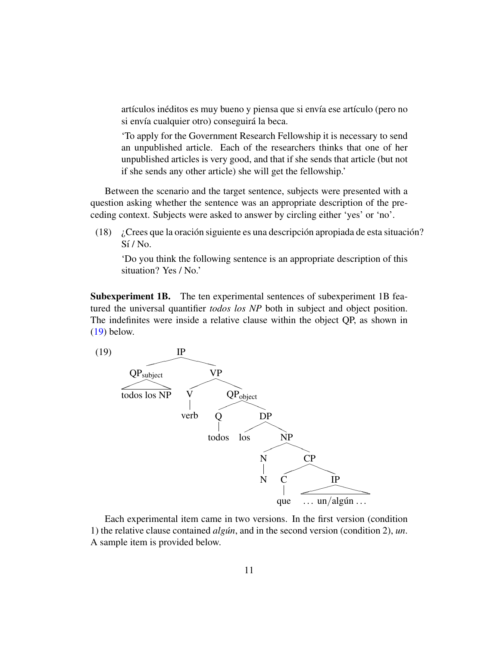artículos inéditos es muy bueno y piensa que si envía ese artículo (pero no si envía cualquier otro) conseguirá la beca.

'To apply for the Government Research Fellowship it is necessary to send an unpublished article. Each of the researchers thinks that one of her unpublished articles is very good, and that if she sends that article (but not if she sends any other article) she will get the fellowship.'

Between the scenario and the target sentence, subjects were presented with a question asking whether the sentence was an appropriate description of the preceding context. Subjects were asked to answer by circling either 'yes' or 'no'.

(18)  $\chi$  Crees que la oración siguiente es una descripción apropiada de esta situación?  $Si/No.$ 

'Do you think the following sentence is an appropriate description of this situation? Yes / No.'

Subexperiment 1B. The ten experimental sentences of subexperiment 1B featured the universal quantifier *todos los NP* both in subject and object position. The indefinites were inside a relative clause within the object QP, as shown in [\(19\)](#page-10-0) below.

<span id="page-10-0"></span>

Each experimental item came in two versions. In the first version (condition 1) the relative clause contained *algun´* , and in the second version (condition 2), *un*. A sample item is provided below.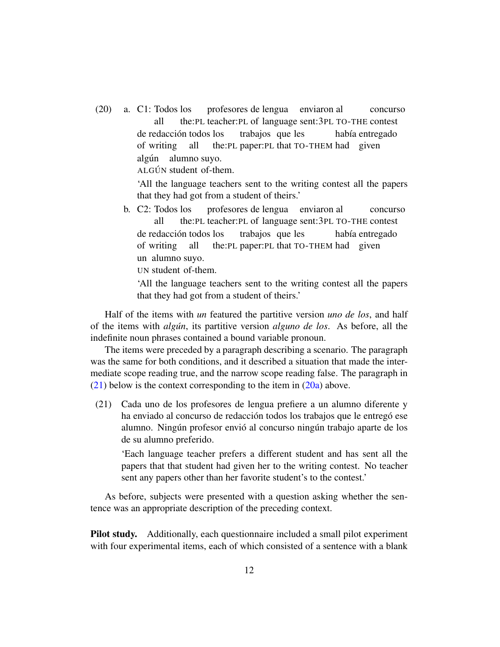<span id="page-11-1"></span>(20) a. C1: Todos los all the:PL teacher:PL of language sent:3PL TO-THE contest profesores de lengua enviaron al concurso de redacción todos los of writing all the:PL paper:PL that TO-THEM had given trabajos que les había entregado algún alumno suyo.

ALGÚN student of-them.

'All the language teachers sent to the writing contest all the papers that they had got from a student of theirs.'

b. C2: Todos los all the:PL teacher:PL of language sent:3PL TO-THE contest profesores de lengua enviaron al concurso de redacción todos los of writing all the:PL paper:PL that TO-THEM had given trabajos que les había entregado un alumno suyo.

UN student of-them.

'All the language teachers sent to the writing contest all the papers that they had got from a student of theirs.'

Half of the items with *un* featured the partitive version *uno de los*, and half of the items with *algun´* , its partitive version *alguno de los*. As before, all the indefinite noun phrases contained a bound variable pronoun.

The items were preceded by a paragraph describing a scenario. The paragraph was the same for both conditions, and it described a situation that made the intermediate scope reading true, and the narrow scope reading false. The paragraph in  $(21)$  below is the context corresponding to the item in  $(20a)$  above.

<span id="page-11-0"></span>(21) Cada uno de los profesores de lengua prefiere a un alumno diferente y ha enviado al concurso de redacción todos los trabajos que le entregó ese alumno. Ningún profesor envió al concurso ningún trabajo aparte de los de su alumno preferido.

'Each language teacher prefers a different student and has sent all the papers that that student had given her to the writing contest. No teacher sent any papers other than her favorite student's to the contest.'

As before, subjects were presented with a question asking whether the sentence was an appropriate description of the preceding context.

Pilot study. Additionally, each questionnaire included a small pilot experiment with four experimental items, each of which consisted of a sentence with a blank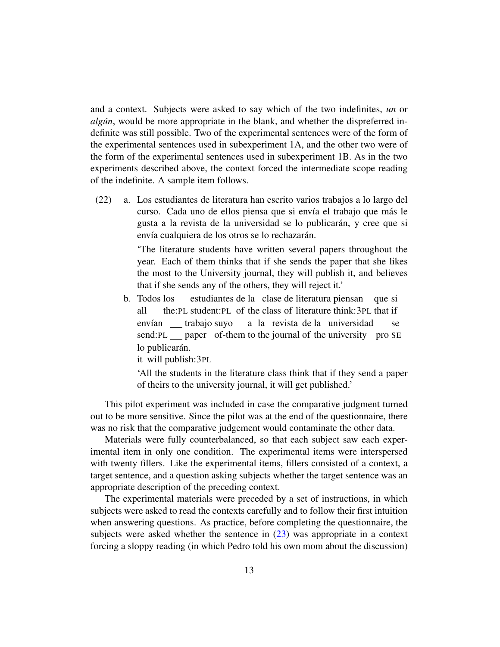and a context. Subjects were asked to say which of the two indefinites, *un* or *algún*, would be more appropriate in the blank, and whether the dispreferred indefinite was still possible. Two of the experimental sentences were of the form of the experimental sentences used in subexperiment 1A, and the other two were of the form of the experimental sentences used in subexperiment 1B. As in the two experiments described above, the context forced the intermediate scope reading of the indefinite. A sample item follows.

(22) a. Los estudiantes de literatura han escrito varios trabajos a lo largo del curso. Cada uno de ellos piensa que si envía el trabajo que más le gusta a la revista de la universidad se lo publicarán, y cree que si envía cualquiera de los otros se lo rechazarán.

> 'The literature students have written several papers throughout the year. Each of them thinks that if she sends the paper that she likes the most to the University journal, they will publish it, and believes that if she sends any of the others, they will reject it.'

b. Todos los all the: PL student: PL of the class of literature think: 3PL that if estudiantes de la clase de literatura piensan que si envían <u>—</u> trabajo suyo send: PL saper of-them to the journal of the university pro SE a la revista de la universidad se lo publicarán.

it will publish:3PL

'All the students in the literature class think that if they send a paper of theirs to the university journal, it will get published.'

This pilot experiment was included in case the comparative judgment turned out to be more sensitive. Since the pilot was at the end of the questionnaire, there was no risk that the comparative judgement would contaminate the other data.

Materials were fully counterbalanced, so that each subject saw each experimental item in only one condition. The experimental items were interspersed with twenty fillers. Like the experimental items, fillers consisted of a context, a target sentence, and a question asking subjects whether the target sentence was an appropriate description of the preceding context.

The experimental materials were preceded by a set of instructions, in which subjects were asked to read the contexts carefully and to follow their first intuition when answering questions. As practice, before completing the questionnaire, the subjects were asked whether the sentence in [\(23\)](#page-13-0) was appropriate in a context forcing a sloppy reading (in which Pedro told his own mom about the discussion)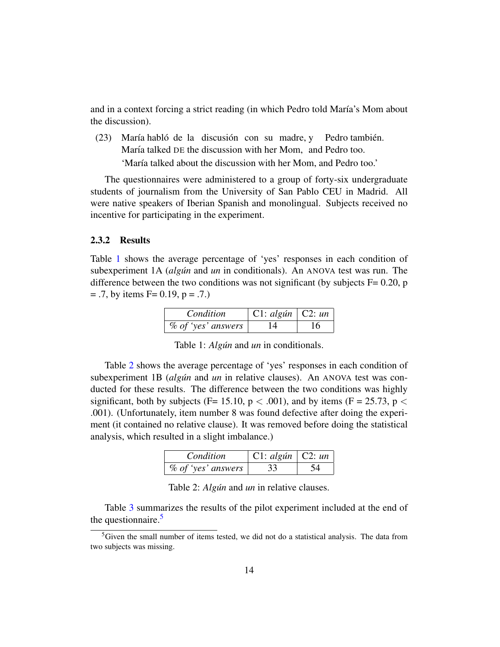and in a context forcing a strict reading (in which Pedro told María's Mom about the discussion).

<span id="page-13-0"></span>(23) María habló de la discusión con su madre, y María talked DE the discussion with her Mom, and Pedro too. Pedro también.

'María talked about the discussion with her Mom, and Pedro too.'

The questionnaires were administered to a group of forty-six undergraduate students of journalism from the University of San Pablo CEU in Madrid. All were native speakers of Iberian Spanish and monolingual. Subjects received no incentive for participating in the experiment.

#### 2.3.2 Results

Table [1](#page-13-1) shows the average percentage of 'yes' responses in each condition of subexperiment 1A *(algun* and *un* in conditionals). An ANOVA test was run. The difference between the two conditions was not significant (by subjects  $F = 0.20$ , p  $= .7$ , by items F= 0.19, p = .7.)

| Condition                         | $\vert$ C1: algún $\vert$ C2: un |    |
|-----------------------------------|----------------------------------|----|
| $\%$ of 'yes' answers $\parallel$ | - 14                             | 16 |

<span id="page-13-1"></span>Table 1: *Algún* and *un* in conditionals.

Table [2](#page-13-2) shows the average percentage of 'yes' responses in each condition of subexperiment 1B (*algún* and *un* in relative clauses). An ANOVA test was conducted for these results. The difference between the two conditions was highly significant, both by subjects (F= 15.10,  $p < .001$ ), and by items (F = 25.73,  $p <$ .001). (Unfortunately, item number 8 was found defective after doing the experiment (it contained no relative clause). It was removed before doing the statistical analysis, which resulted in a slight imbalance.)

| Condition                           | $\mid$ C1: algún $\mid$ C2: un |  |
|-------------------------------------|--------------------------------|--|
| $\%$ of 'yes' answers $\frac{1}{2}$ | 33                             |  |

<span id="page-13-2"></span>Table 2: *Algún* and *un* in relative clauses.

Table [3](#page-14-0) summarizes the results of the pilot experiment included at the end of the questionnaire.<sup>[5](#page-0-0)</sup>

 ${}^{5}$ Given the small number of items tested, we did not do a statistical analysis. The data from two subjects was missing.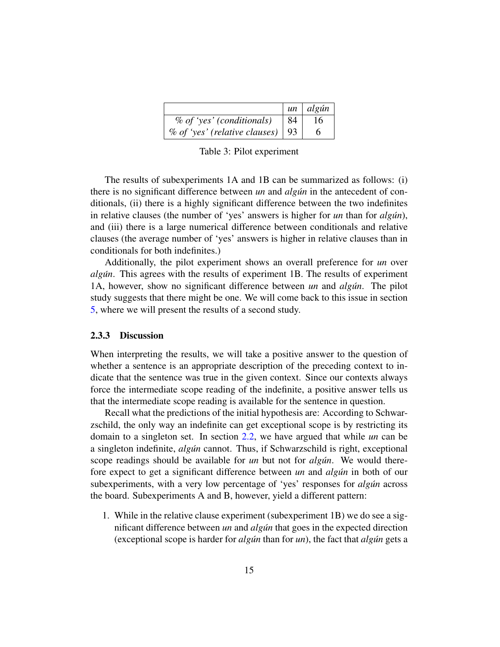|                                       |           | $un \mid algún$ |
|---------------------------------------|-----------|-----------------|
| $%$ of 'yes' (conditionals)           | $\mid$ 84 | 16              |
| $\%$ of 'yes' (relative clauses)   93 |           |                 |

<span id="page-14-0"></span>Table 3: Pilot experiment

The results of subexperiments 1A and 1B can be summarized as follows: (i) there is no significant difference between *un* and *algun* in the antecedent of conditionals, (ii) there is a highly significant difference between the two indefinites in relative clauses (the number of 'yes' answers is higher for *un* than for *algun*), and (iii) there is a large numerical difference between conditionals and relative clauses (the average number of 'yes' answers is higher in relative clauses than in conditionals for both indefinites.)

Additionally, the pilot experiment shows an overall preference for *un* over *algun´* . This agrees with the results of experiment 1B. The results of experiment 1A, however, show no significant difference between *un* and *algun*. The pilot study suggests that there might be one. We will come back to this issue in section [5,](#page-29-0) where we will present the results of a second study.

#### 2.3.3 Discussion

When interpreting the results, we will take a positive answer to the question of whether a sentence is an appropriate description of the preceding context to indicate that the sentence was true in the given context. Since our contexts always force the intermediate scope reading of the indefinite, a positive answer tells us that the intermediate scope reading is available for the sentence in question.

Recall what the predictions of the initial hypothesis are: According to Schwarzschild, the only way an indefinite can get exceptional scope is by restricting its domain to a singleton set. In section [2.2,](#page-6-0) we have argued that while *un* can be a singleton indefinite, *algún* cannot. Thus, if Schwarzschild is right, exceptional scope readings should be available for *un* but not for *algun*. We would therefore expect to get a significant difference between *un* and *algun´* in both of our subexperiments, with a very low percentage of 'yes' responses for *algun* across the board. Subexperiments A and B, however, yield a different pattern:

1. While in the relative clause experiment (subexperiment 1B) we do see a significant difference between *un* and *algun´* that goes in the expected direction (exceptional scope is harder for *algun´* than for *un*), the fact that *algun´* gets a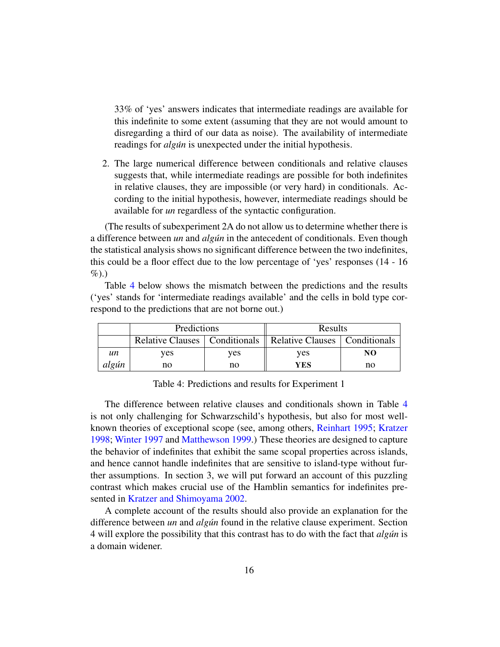33% of 'yes' answers indicates that intermediate readings are available for this indefinite to some extent (assuming that they are not would amount to disregarding a third of our data as noise). The availability of intermediate readings for *algun* is unexpected under the initial hypothesis.

2. The large numerical difference between conditionals and relative clauses suggests that, while intermediate readings are possible for both indefinites in relative clauses, they are impossible (or very hard) in conditionals. According to the initial hypothesis, however, intermediate readings should be available for *un* regardless of the syntactic configuration.

(The results of subexperiment 2A do not allow us to determine whether there is a difference between *un* and *algun* in the antecedent of conditionals. Even though the statistical analysis shows no significant difference between the two indefinites, this could be a floor effect due to the low percentage of 'yes' responses (14 - 16  $\%$ ).)

Table [4](#page-15-0) below shows the mismatch between the predictions and the results ('yes' stands for 'intermediate readings available' and the cells in bold type correspond to the predictions that are not borne out.)

|       | Predictions |     | Results                                                            |    |
|-------|-------------|-----|--------------------------------------------------------------------|----|
|       |             |     | Relative Clauses   Conditionals    Relative Clauses   Conditionals |    |
| un    | ves         | ves | ves                                                                | NO |
| algún | no          | no  | YES                                                                | no |

<span id="page-15-0"></span>Table 4: Predictions and results for Experiment 1

The difference between relative clauses and conditionals shown in Table [4](#page-15-0) is not only challenging for Schwarzschild's hypothesis, but also for most wellknown theories of exceptional scope (see, among others, [Reinhart](#page-55-1) [1995;](#page-55-1) [Kratzer](#page-54-2) [1998;](#page-54-2) [Winter](#page-55-4) [1997](#page-55-4) and [Matthewson](#page-54-3) [1999.](#page-54-3)) These theories are designed to capture the behavior of indefinites that exhibit the same scopal properties across islands, and hence cannot handle indefinites that are sensitive to island-type without further assumptions. In section 3, we will put forward an account of this puzzling contrast which makes crucial use of the Hamblin semantics for indefinites presented in [Kratzer and Shimoyama](#page-54-0) [2002.](#page-54-0)

A complete account of the results should also provide an explanation for the difference between *un* and *algun´* found in the relative clause experiment. Section 4 will explore the possibility that this contrast has to do with the fact that *algun´* is a domain widener.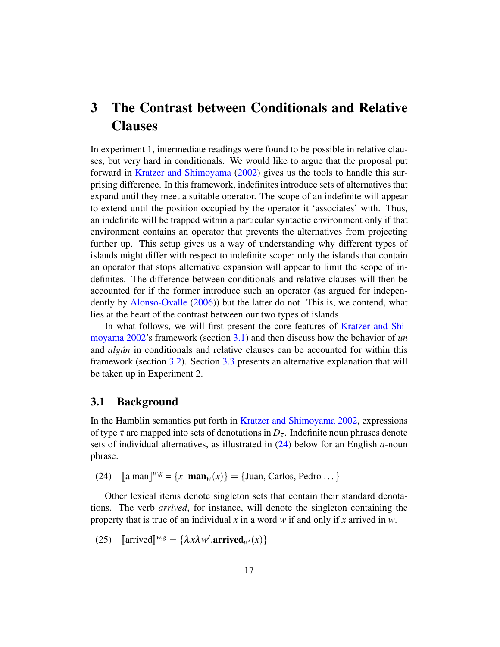# <span id="page-16-0"></span>3 The Contrast between Conditionals and Relative **Clauses**

In experiment 1, intermediate readings were found to be possible in relative clauses, but very hard in conditionals. We would like to argue that the proposal put forward in [Kratzer and Shimoyama](#page-54-0) [\(2002\)](#page-54-0) gives us the tools to handle this surprising difference. In this framework, indefinites introduce sets of alternatives that expand until they meet a suitable operator. The scope of an indefinite will appear to extend until the position occupied by the operator it 'associates' with. Thus, an indefinite will be trapped within a particular syntactic environment only if that environment contains an operator that prevents the alternatives from projecting further up. This setup gives us a way of understanding why different types of islands might differ with respect to indefinite scope: only the islands that contain an operator that stops alternative expansion will appear to limit the scope of indefinites. The difference between conditionals and relative clauses will then be accounted for if the former introduce such an operator (as argued for independently by [Alonso-Ovalle](#page-51-0) [\(2006\)](#page-51-0)) but the latter do not. This is, we contend, what lies at the heart of the contrast between our two types of islands.

In what follows, we will first present the core features of [Kratzer and Shi](#page-54-0)[moyama](#page-54-0) [2002'](#page-54-0)s framework (section [3.1\)](#page-16-1) and then discuss how the behavior of *un* and *algun* in conditionals and relative clauses can be accounted for within this framework (section [3.2\)](#page-19-0). Section [3.3](#page-26-0) presents an alternative explanation that will be taken up in Experiment 2.

### <span id="page-16-1"></span>3.1 Background

In the Hamblin semantics put forth in [Kratzer and Shimoyama](#page-54-0) [2002,](#page-54-0) expressions of type  $\tau$  are mapped into sets of denotations in  $D_{\tau}$ . Indefinite noun phrases denote sets of individual alternatives, as illustrated in [\(24\)](#page-16-2) below for an English *a*-noun phrase.

<span id="page-16-2"></span>(24)  $[\![\text{a man}]\!]^{w,g} = \{x | \text{man}_w(x)\} = \{\text{Juan, Carlos, Pedro} ... \}$ 

Other lexical items denote singleton sets that contain their standard denotations. The verb *arrived*, for instance, will denote the singleton containing the property that is true of an individual *x* in a word *w* if and only if *x* arrived in *w*.

<span id="page-16-3"></span>(25)  $[\text{arrived}]^{w,g} = {\lambda x \lambda w' . \text{arrived}_{w'}(x)}$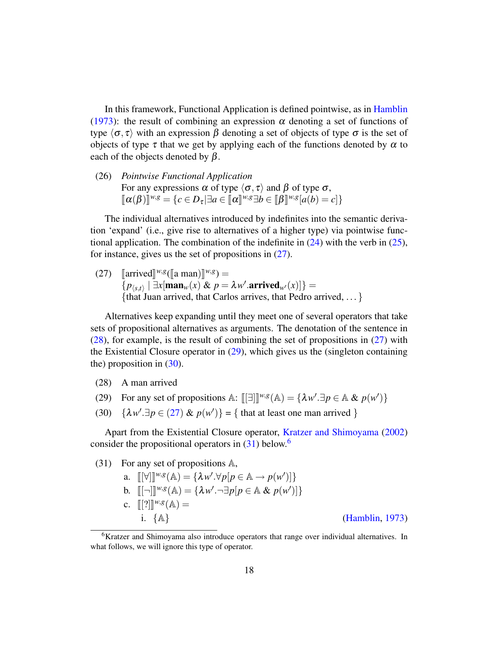In this framework, Functional Application is defined pointwise, as in [Hamblin](#page-53-5) [\(1973\)](#page-53-5): the result of combining an expression  $\alpha$  denoting a set of functions of type  $\langle \sigma, \tau \rangle$  with an expression  $\beta$  denoting a set of objects of type  $\sigma$  is the set of objects of type  $\tau$  that we get by applying each of the functions denoted by  $\alpha$  to each of the objects denoted by  $\beta$ .

(26) *Pointwise Functional Application* For any expressions  $\alpha$  of type  $\langle \sigma, \tau \rangle$  and  $\beta$  of type  $\sigma$ ,  $[(\alpha(\beta))]^{w,g} = \{c \in D_{\tau} | \exists a \in [\![\alpha]\!]^{w,g} \exists b \in [\![\beta]\!]^{w,g} [a(b) = c]\}$ 

The individual alternatives introduced by indefinites into the semantic derivation 'expand' (i.e., give rise to alternatives of a higher type) via pointwise functional application. The combination of the indefinite in  $(24)$  with the verb in  $(25)$ , for instance, gives us the set of propositions in [\(27\)](#page-17-0).

<span id="page-17-0"></span>(27)  $[\arrized]^{w,g}([\text{a man})]^{w,g}$  =  $\overline{\{p_{\langle s,t\rangle} \mid \exists x[\mathbf{man}_w(x)] \& p = \lambda w'.\mathbf{arrived}_{w'}(x)]\}} =$ {that Juan arrived, that Carlos arrives, that Pedro arrived, ... }

Alternatives keep expanding until they meet one of several operators that take sets of propositional alternatives as arguments. The denotation of the sentence in [\(28\)](#page-17-1), for example, is the result of combining the set of propositions in [\(27\)](#page-17-0) with the Existential Closure operator in [\(29\)](#page-17-2), which gives us the (singleton containing the) proposition in  $(30)$ .

- <span id="page-17-1"></span>(28) A man arrived
- <span id="page-17-2"></span>(29) For any set of propositions  $\mathbb{A}$ :  $[[\exists]]^{w,g}(\mathbb{A}) = {\lambda w'. \exists p \in \mathbb{A} \& p(w')}$
- <span id="page-17-3"></span>(30)  $\{\lambda w'.\exists p \in (27) \& p(w')\} = \{\text{ that at least one man arrived }\}$  $\{\lambda w'.\exists p \in (27) \& p(w')\} = \{\text{ that at least one man arrived }\}$  $\{\lambda w'.\exists p \in (27) \& p(w')\} = \{\text{ that at least one man arrived }\}$

Apart from the Existential Closure operator, [Kratzer and Shimoyama](#page-54-0) [\(2002\)](#page-54-0) consider the propositional operators in  $(31)$  below.<sup>[6](#page-0-0)</sup>

<span id="page-17-4"></span>(31) For any set of propositions A, a.  $[[\forall]]^{w,g}(\mathbb{A}) = {\lambda w'. \forall p[p \in \mathbb{A} \rightarrow p(w')] }$ b.  $[[\neg]]^{w,g}(\mathbb{A}) = {\lambda w'.\neg \exists p[p \in \mathbb{A} \& p(w')] }$ c.  $[[?]]^{w,g}(\mathbb{A}) =$ i. {A} [\(Hamblin,](#page-53-5) [1973\)](#page-53-5)

<sup>&</sup>lt;sup>6</sup>Kratzer and Shimoyama also introduce operators that range over individual alternatives. In what follows, we will ignore this type of operator.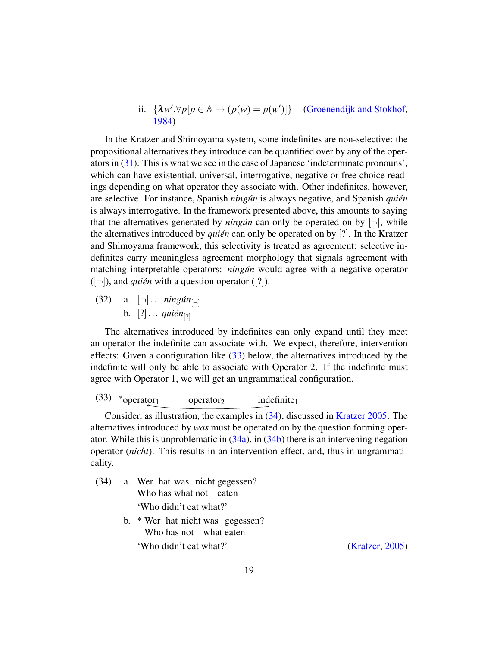ii. 
$$
\{\lambda w'. \forall p[p \in \mathbb{A} \rightarrow (p(w) = p(w')] \}
$$
 (Groenendijk and Stokhof, 1984)

In the Kratzer and Shimoyama system, some indefinites are non-selective: the propositional alternatives they introduce can be quantified over by any of the operators in [\(31\)](#page-17-4). This is what we see in the case of Japanese 'indeterminate pronouns', which can have existential, universal, interrogative, negative or free choice readings depending on what operator they associate with. Other indefinites, however, are selective. For instance, Spanish *ningun* is always negative, and Spanish *quién* is always interrogative. In the framework presented above, this amounts to saying that the alternatives generated by *ningun* can only be operated on by  $[\neg]$ , while the alternatives introduced by *quién* can only be operated on by [?]. In the Kratzer and Shimoyama framework, this selectivity is treated as agreement: selective indefinites carry meaningless agreement morphology that signals agreement with matching interpretable operators: *ningun* would agree with a negative operator  $([-])$ , and *quién* with a question operator ([?]).

 $(32)$  a.  $[\neg] \dots \text{ming} \{ \text{min}_{[\neg]} \}$ b.  $[?] \ldots$  *quién*<sub>[?]</sub>

The alternatives introduced by indefinites can only expand until they meet an operator the indefinite can associate with. We expect, therefore, intervention effects: Given a configuration like [\(33\)](#page-18-0) below, the alternatives introduced by the indefinite will only be able to associate with Operator 2. If the indefinite must agree with Operator 1, we will get an ungrammatical configuration.

<span id="page-18-0"></span>(33)  $*_{\text{operator}_1}$  operator<sub>2</sub> indefinite<sub>1</sub>

Consider, as illustration, the examples in [\(34\)](#page-18-1), discussed in [Kratzer](#page-54-9) [2005.](#page-54-9) The alternatives introduced by *was* must be operated on by the question forming operator. While this is unproblematic in [\(34a\)](#page-18-1), in [\(34b\)](#page-18-2) there is an intervening negation operator (*nicht*). This results in an intervention effect, and, thus in ungrammaticality.

- <span id="page-18-2"></span><span id="page-18-1"></span>(34) a. Wer hat was nicht gegessen? Who has what not eaten 'Who didn't eat what?' b. \* Wer hat nicht was gegessen?
	- Who has not what eaten

'Who didn't eat what?' [\(Kratzer,](#page-54-9) [2005\)](#page-54-9)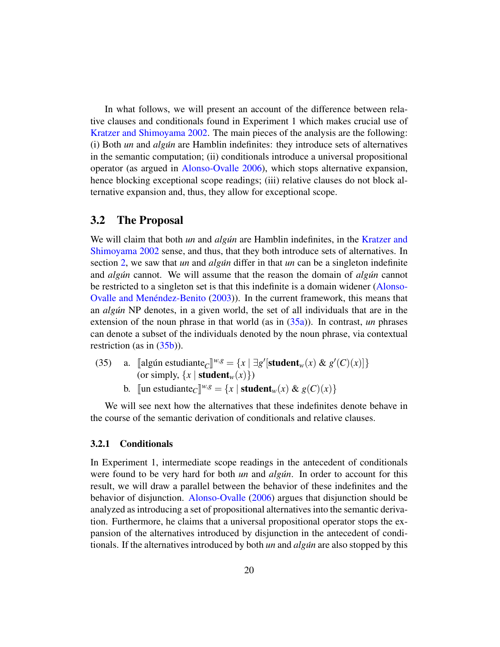In what follows, we will present an account of the difference between relative clauses and conditionals found in Experiment 1 which makes crucial use of [Kratzer and Shimoyama](#page-54-0) [2002.](#page-54-0) The main pieces of the analysis are the following: (i) Both *un* and *algun´* are Hamblin indefinites: they introduce sets of alternatives in the semantic computation; (ii) conditionals introduce a universal propositional operator (as argued in [Alonso-Ovalle](#page-51-0) [2006\)](#page-51-0), which stops alternative expansion, hence blocking exceptional scope readings; (iii) relative clauses do not block alternative expansion and, thus, they allow for exceptional scope.

### <span id="page-19-0"></span>3.2 The Proposal

We will claim that both *un* and *algun* are Hamblin indefinites, in the [Kratzer and](#page-54-0) [Shimoyama](#page-54-0) [2002](#page-54-0) sense, and thus, that they both introduce sets of alternatives. In section [2,](#page-3-0) we saw that *un* and *algun* differ in that *un* can be a singleton indefinite and *algun* cannot. We will assume that the reason the domain of *algun* cannot be restricted to a singleton set is that this indefinite is a domain widener [\(Alonso-](#page-51-1)Ovalle and Menéndez-Benito  $(2003)$ ). In the current framework, this means that an *algun´* NP denotes, in a given world, the set of all individuals that are in the extension of the noun phrase in that world (as in [\(35a\)](#page-19-1)). In contrast, *un* phrases can denote a subset of the individuals denoted by the noun phrase, via contextual restriction (as in  $(35b)$ ).

- <span id="page-19-1"></span>(35) a. [algún estudiante<sub>C</sub>]<sup>*w*,*g*</sup> = {*x* | ∃*g*' [student<sub>*w*</sub>(*x*) & *g'*(*C*)(*x*)]}<br>(or simply [*x* | student (*x*))) (or simply,  $\{x \mid \text{student}_w(x)\})$ )
	- b. [un estudiante<sub>*C*</sub>]<sup>*w*,*g*</sup> = {*x* | **student**<sub>*w*</sub>(*x*) & *g*(*C*)(*x*)}

<span id="page-19-2"></span>We will see next how the alternatives that these indefinites denote behave in the course of the semantic derivation of conditionals and relative clauses.

### 3.2.1 Conditionals

In Experiment 1, intermediate scope readings in the antecedent of conditionals were found to be very hard for both *un* and *algun*. In order to account for this result, we will draw a parallel between the behavior of these indefinites and the behavior of disjunction. [Alonso-Ovalle](#page-51-0) [\(2006\)](#page-51-0) argues that disjunction should be analyzed as introducing a set of propositional alternatives into the semantic derivation. Furthermore, he claims that a universal propositional operator stops the expansion of the alternatives introduced by disjunction in the antecedent of conditionals. If the alternatives introduced by both *un* and *algun´* are also stopped by this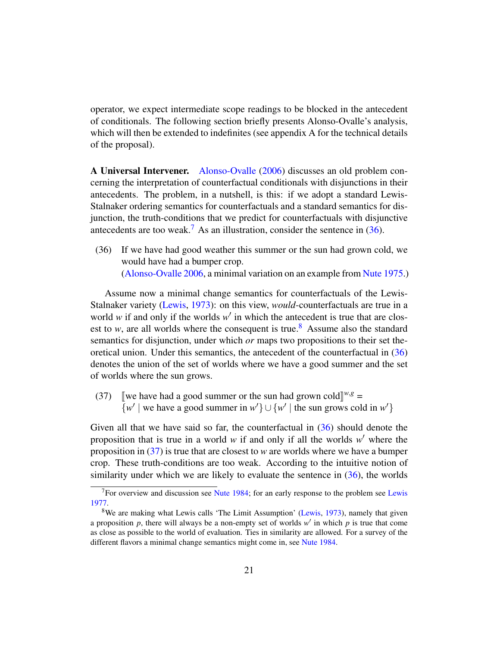operator, we expect intermediate scope readings to be blocked in the antecedent of conditionals. The following section briefly presents Alonso-Ovalle's analysis, which will then be extended to indefinites (see appendix A for the technical details of the proposal).

A Universal Intervener. [Alonso-Ovalle](#page-51-0) [\(2006\)](#page-51-0) discusses an old problem concerning the interpretation of counterfactual conditionals with disjunctions in their antecedents. The problem, in a nutshell, is this: if we adopt a standard Lewis-Stalnaker ordering semantics for counterfactuals and a standard semantics for disjunction, the truth-conditions that we predict for counterfactuals with disjunctive antecedents are too weak.<sup>[7](#page-0-0)</sup> As an illustration, consider the sentence in  $(36)$ .

<span id="page-20-0"></span>(36) If we have had good weather this summer or the sun had grown cold, we would have had a bumper crop. [\(Alonso-Ovalle](#page-51-0) [2006,](#page-51-0) a minimal variation on an example from [Nute](#page-54-10) [1975.](#page-54-10))

Assume now a minimal change semantics for counterfactuals of the Lewis-Stalnaker variety [\(Lewis,](#page-54-11) [1973\)](#page-54-11): on this view, *would*-counterfactuals are true in a world  $w$  if and only if the worlds  $w'$  in which the antecedent is true that are closest to *w*, are all worlds where the consequent is true.<sup>[8](#page-0-0)</sup> Assume also the standard semantics for disjunction, under which *or* maps two propositions to their set theoretical union. Under this semantics, the antecedent of the counterfactual in [\(36\)](#page-20-0) denotes the union of the set of worlds where we have a good summer and the set of worlds where the sun grows.

<span id="page-20-1"></span>(37) [we have had a good summer or the sun had grown cold]<sup>*w*,*g*</sup> =  $\{w' \mid$  we have a good summer in  $w' \} \cup \{w' \mid$  the sun grows cold in  $w' \}$ 

Given all that we have said so far, the counterfactual in [\(36\)](#page-20-0) should denote the proposition that is true in a world  $w$  if and only if all the worlds  $w'$  where the proposition in [\(37\)](#page-20-1) is true that are closest to *w* are worlds where we have a bumper crop. These truth-conditions are too weak. According to the intuitive notion of similarity under which we are likely to evaluate the sentence in  $(36)$ , the worlds

 $<sup>7</sup>$  For overview and discussion see [Nute](#page-55-8) [1984;](#page-55-8) for an early response to the problem see [Lewis](#page-54-12)</sup> [1977.](#page-54-12)

<sup>&</sup>lt;sup>8</sup>We are making what Lewis calls 'The Limit Assumption' [\(Lewis,](#page-54-11) [1973\)](#page-54-11), namely that given a proposition  $p$ , there will always be a non-empty set of worlds  $w'$  in which  $p$  is true that come as close as possible to the world of evaluation. Ties in similarity are allowed. For a survey of the different flavors a minimal change semantics might come in, see [Nute](#page-55-8) [1984.](#page-55-8)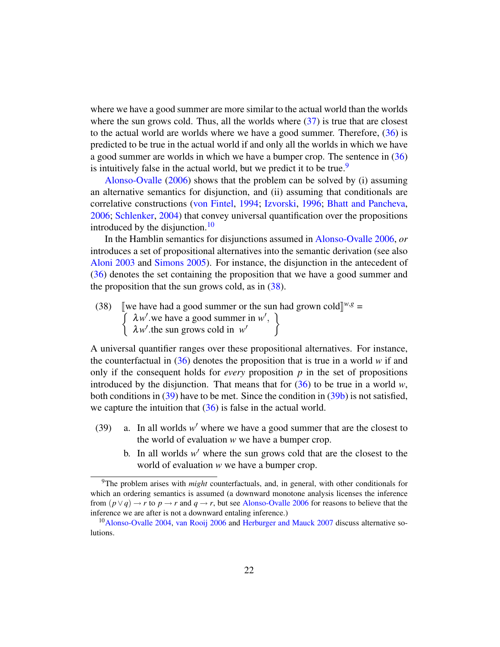where we have a good summer are more similar to the actual world than the worlds where the sun grows cold. Thus, all the worlds where  $(37)$  is true that are closest to the actual world are worlds where we have a good summer. Therefore, [\(36\)](#page-20-0) is predicted to be true in the actual world if and only all the worlds in which we have a good summer are worlds in which we have a bumper crop. The sentence in [\(36\)](#page-20-0) is intuitively false in the actual world, but we predict it to be true.<sup>[9](#page-0-0)</sup>

[Alonso-Ovalle](#page-51-0) [\(2006\)](#page-51-0) shows that the problem can be solved by (i) assuming an alternative semantics for disjunction, and (ii) assuming that conditionals are correlative constructions [\(von Fintel,](#page-52-6) [1994;](#page-52-6) [Izvorski,](#page-53-6) [1996;](#page-53-6) [Bhatt and Pancheva,](#page-51-6) [2006;](#page-51-6) [Schlenker,](#page-55-9) [2004\)](#page-55-9) that convey universal quantification over the propositions introduced by the disjunction. $10$ 

In the Hamblin semantics for disjunctions assumed in [Alonso-Ovalle](#page-51-0) [2006,](#page-51-0) *or* introduces a set of propositional alternatives into the semantic derivation (see also [Aloni](#page-51-7) [2003](#page-51-7) and [Simons](#page-55-10) [2005\)](#page-55-10). For instance, the disjunction in the antecedent of [\(36\)](#page-20-0) denotes the set containing the proposition that we have a good summer and the proposition that the sun grows cold, as in  $(38)$ .

<span id="page-21-0"></span>(38) [we have had a good summer or the sun had grown cold]<sup>*w*,*g*</sup> =  $\int \lambda w'$  we have a good summer in w',  $\lambda w'$  the sun grows cold in *w*<sup></sup>  $\mathcal{L}$ 

A universal quantifier ranges over these propositional alternatives. For instance, the counterfactual in  $(36)$  denotes the proposition that is true in a world *w* if and only if the consequent holds for *every* proposition *p* in the set of propositions introduced by the disjunction. That means that for  $(36)$  to be true in a world *w*, both conditions in [\(39\)](#page-21-1) have to be met. Since the condition in [\(39b\)](#page-21-2) is not satisfied, we capture the intuition that  $(36)$  is false in the actual world.

- <span id="page-21-2"></span><span id="page-21-1"></span>(39) a. In all worlds  $w'$  where we have a good summer that are the closest to the world of evaluation *w* we have a bumper crop.
	- b. In all worlds  $w'$  where the sun grows cold that are the closest to the world of evaluation *w* we have a bumper crop.

<sup>9</sup>The problem arises with *might* counterfactuals, and, in general, with other conditionals for which an ordering semantics is assumed (a downward monotone analysis licenses the inference from  $(p \lor q) \to r$  to  $p \to r$  and  $q \to r$ , but see [Alonso-Ovalle](#page-51-0) [2006](#page-51-0) for reasons to believe that the inference we are after is not a downward entaling inference.)

<sup>10</sup>[Alonso-Ovalle](#page-51-8) [2004,](#page-51-8) [van Rooij](#page-55-11) [2006](#page-55-11) and [Herburger and Mauck](#page-53-7) [2007](#page-53-7) discuss alternative solutions.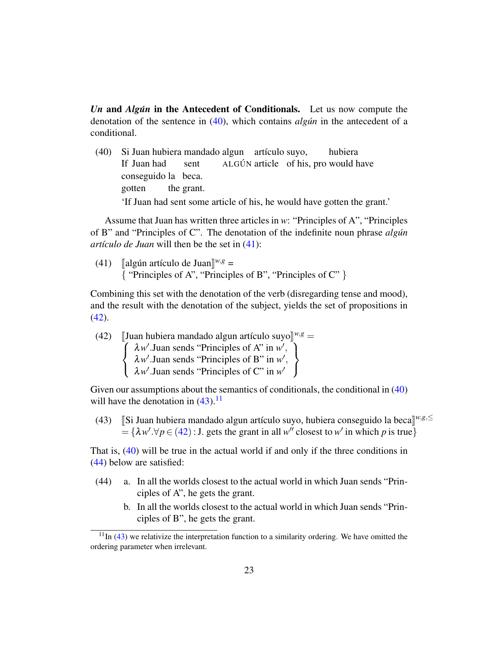*Un* and *Algun* in the Antecedent of Conditionals. Let us now compute the denotation of the sentence in [\(40\)](#page-22-0), which contains *algun* in the antecedent of a conditional.

<span id="page-22-0"></span>(40) Si Juan hubiera mandado algun artículo suyo, If Juan had sent ALGÚN article of his, pro would have hubiera conseguido la beca. gotten the grant. 'If Juan had sent some article of his, he would have gotten the grant.'

Assume that Juan has written three articles in *w*: "Principles of A", "Principles of B" and "Principles of C". The denotation of the indefinite noun phrase *algun´ artículo de Juan* will then be the set in  $(41)$ :

<span id="page-22-1"></span>(41) [algún artículo de Juan]<sup>*w*,*g*</sup> = { "Principles of A", "Principles of B", "Principles of C" }

Combining this set with the denotation of the verb (disregarding tense and mood), and the result with the denotation of the subject, yields the set of propositions in  $(42)$ .

<span id="page-22-2"></span>(42) [Juan hubiera mandado algun artículo suyo]<sup>w,g</sup> =   

$$
\begin{cases} \lambda w'.\text{ Juan sends "Principles of A" in } w', \\ \lambda w'.\text{ Juan sends "Principles of B" in } w', \\ \lambda w'.\text{ Juan sends "Principles of C" in } w' \end{cases}
$$

Given our assumptions about the semantics of conditionals, the conditional in [\(40\)](#page-22-0) will have the denotation in  $(43)$ .<sup>[11](#page-0-0)</sup>

<span id="page-22-3"></span>(43) [Si Juan hubiera mandado algun artículo suyo, hubiera conseguido la beca]<sup>*w,g*,≤</sup><br>  $-\left(3w/\pi c/(42)\right)$ ; L gots the graphin all w<sup>n</sup> algoest to w<sup>1</sup> in which n is true  $= {\lambda w'.\forall p \in (42) : J.$  $= {\lambda w'.\forall p \in (42) : J.$  $= {\lambda w'.\forall p \in (42) : J.$  gets the grant in all *w*'' closest to *w*' in which *p* is true}

That is, [\(40\)](#page-22-0) will be true in the actual world if and only if the three conditions in [\(44\)](#page-22-4) below are satisfied:

- <span id="page-22-4"></span>(44) a. In all the worlds closest to the actual world in which Juan sends "Principles of A", he gets the grant.
	- b. In all the worlds closest to the actual world in which Juan sends "Principles of B", he gets the grant.

 $11$ In [\(43\)](#page-22-3) we relativize the interpretation function to a similarity ordering. We have omitted the ordering parameter when irrelevant.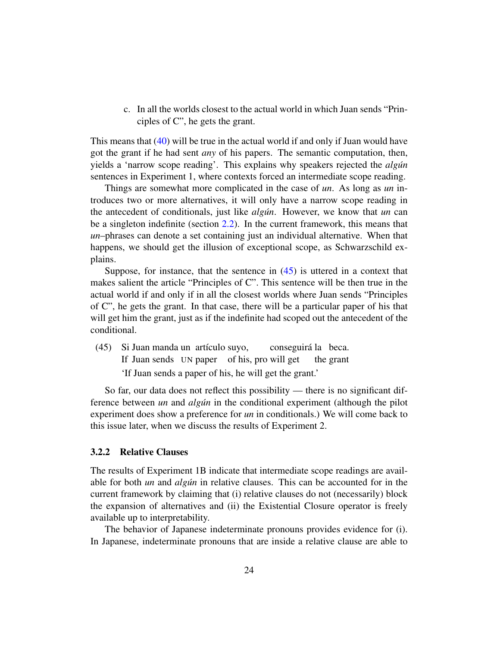c. In all the worlds closest to the actual world in which Juan sends "Principles of C", he gets the grant.

This means that [\(40\)](#page-22-0) will be true in the actual world if and only if Juan would have got the grant if he had sent *any* of his papers. The semantic computation, then, yields a 'narrow scope reading'. This explains why speakers rejected the *algun´* sentences in Experiment 1, where contexts forced an intermediate scope reading.

Things are somewhat more complicated in the case of *un*. As long as *un* introduces two or more alternatives, it will only have a narrow scope reading in the antecedent of conditionals, just like *algun*. However, we know that *un* can be a singleton indefinite (section [2.2\)](#page-6-0). In the current framework, this means that *un*–phrases can denote a set containing just an individual alternative. When that happens, we should get the illusion of exceptional scope, as Schwarzschild explains.

Suppose, for instance, that the sentence in  $(45)$  is uttered in a context that makes salient the article "Principles of C". This sentence will be then true in the actual world if and only if in all the closest worlds where Juan sends "Principles of C", he gets the grant. In that case, there will be a particular paper of his that will get him the grant, just as if the indefinite had scoped out the antecedent of the conditional.

<span id="page-23-0"></span>(45) Si Juan manda un artículo suyo, If Juan sends UN paper of his, pro will get conseguirá la beca. the grant 'If Juan sends a paper of his, he will get the grant.'

So far, our data does not reflect this possibility — there is no significant difference between *un* and *algun* in the conditional experiment (although the pilot experiment does show a preference for *un* in conditionals.) We will come back to this issue later, when we discuss the results of Experiment 2.

#### 3.2.2 Relative Clauses

The results of Experiment 1B indicate that intermediate scope readings are available for both *un* and *algun´* in relative clauses. This can be accounted for in the current framework by claiming that (i) relative clauses do not (necessarily) block the expansion of alternatives and (ii) the Existential Closure operator is freely available up to interpretability.

The behavior of Japanese indeterminate pronouns provides evidence for (i). In Japanese, indeterminate pronouns that are inside a relative clause are able to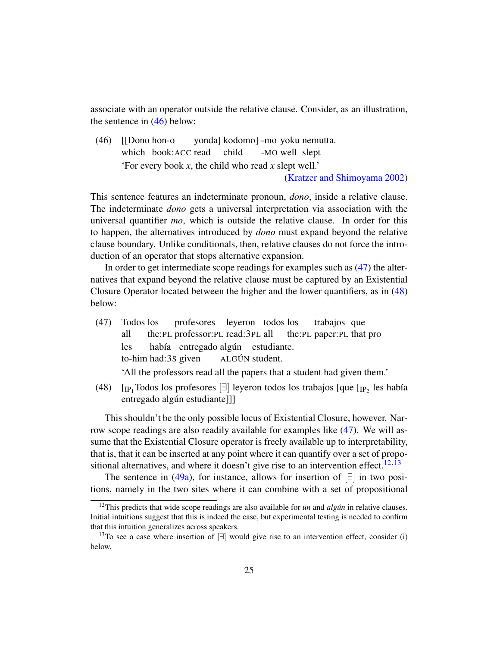associate with an operator outside the relative clause. Consider, as an illustration, the sentence in [\(46\)](#page-24-0) below:

<span id="page-24-0"></span>(46) [[Dono hon-o which book:ACC read yonda] kodomo] -mo yoku nemutta. child -MO well slept 'For every book *x*, the child who read *x* slept well.' [\(Kratzer and Shimoyama](#page-54-0) [2002\)](#page-54-0)

This sentence features an indeterminate pronoun, *dono*, inside a relative clause. The indeterminate *dono* gets a universal interpretation via association with the universal quantifier *mo*, which is outside the relative clause. In order for this to happen, the alternatives introduced by *dono* must expand beyond the relative clause boundary. Unlike conditionals, then, relative clauses do not force the introduction of an operator that stops alternative expansion.

In order to get intermediate scope readings for examples such as [\(47\)](#page-24-1) the alternatives that expand beyond the relative clause must be captured by an Existential Closure Operator located between the higher and the lower quantifiers, as in [\(48\)](#page-24-2) below:

<span id="page-24-1"></span>(47) Todos los all the:PL professor:PL read:3PL all profesores leyeron todos los the:PL paper:PL that pro trabajos que les to-him had:3S given había entregado algún estudiante. ALGÚN student.

'All the professors read all the papers that a student had given them.'

<span id="page-24-2"></span>(48)  $\left[$ <sub>IP<sub>1</sub></sub>Todos los profesores  $\left[\exists\right]$  leyeron todos los trabajos  $\left[\text{que } \left[\text{IP}_2 \right]$  les había entregado algún estudiante]]]

This shouldn't be the only possible locus of Existential Closure, however. Narrow scope readings are also readily available for examples like [\(47\)](#page-24-1). We will assume that the Existential Closure operator is freely available up to interpretability, that is, that it can be inserted at any point where it can quantify over a set of propo-sitional alternatives, and where it doesn't give rise to an intervention effect.<sup>[12](#page-0-0),[13](#page-0-0)</sup>

The sentence in [\(49a\)](#page-25-0), for instance, allows for insertion of  $\Box$  in two positions, namely in the two sites where it can combine with a set of propositional

 $12$ This predicts that wide scope readings are also available for *un* and *algun* in relative clauses. Initial intuitions suggest that this is indeed the case, but experimental testing is needed to confirm that this intuition generalizes across speakers.

<sup>&</sup>lt;sup>13</sup>To see a case where insertion of  $\exists$  would give rise to an intervention effect, consider (i) below.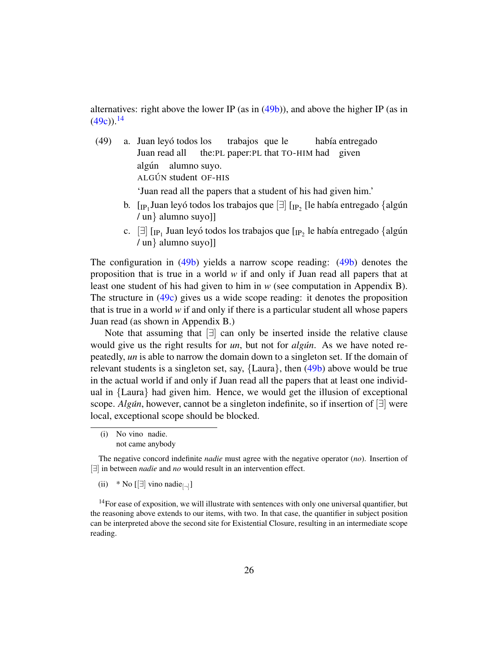alternatives: right above the lower IP (as in [\(49b\)](#page-25-1)), and above the higher IP (as in  $(49c)$ ).<sup>[14](#page-0-0)</sup>

- <span id="page-25-1"></span><span id="page-25-0"></span>(49) a. Juan leyó todos los Juan read all the:PL paper:PL that TO-HIM had given trabajos que le había entregado algún alumno suyo. ALGÚN student OF-HIS 'Juan read all the papers that a student of his had given him.'
	- b.  $\rm{[IP_1]}$ Juan leyó todos los trabajos que  $\rm{[I]}\rm{[IP_2]}$  [le había entregado  $\rm{\{algun}$ / un} alumno suyo]]
	- c.  $\left[\exists\right]$  [ $_{\text{IP}_1}$  Juan leyó todos los trabajos que [ $_{\text{IP}_2}$  le había entregado {algún / un} alumno suyo]]

<span id="page-25-2"></span>The configuration in [\(49b\)](#page-25-1) yields a narrow scope reading: [\(49b\)](#page-25-1) denotes the proposition that is true in a world *w* if and only if Juan read all papers that at least one student of his had given to him in *w* (see computation in Appendix B). The structure in [\(49c\)](#page-25-2) gives us a wide scope reading: it denotes the proposition that is true in a world *w* if and only if there is a particular student all whose papers Juan read (as shown in Appendix B.)

Note that assuming that [∃] can only be inserted inside the relative clause would give us the right results for *un*, but not for *algun*. As we have noted repeatedly, *un* is able to narrow the domain down to a singleton set. If the domain of relevant students is a singleton set, say, {Laura}, then [\(49b\)](#page-25-1) above would be true in the actual world if and only if Juan read all the papers that at least one individual in {Laura} had given him. Hence, we would get the illusion of exceptional scope. *Algún*, however, cannot be a singleton indefinite, so if insertion of [∃] were local, exceptional scope should be blocked.

<sup>(</sup>i) No vino nadie. not came anybody

The negative concord indefinite *nadie* must agree with the negative operator (*no*). Insertion of [∃] in between *nadie* and *no* would result in an intervention effect.

<sup>(</sup>ii) \* No [[ $\exists$ ] vino nadie<sub>[¬]</sub>]

 $14$  For ease of exposition, we will illustrate with sentences with only one universal quantifier, but the reasoning above extends to our items, with two. In that case, the quantifier in subject position can be interpreted above the second site for Existential Closure, resulting in an intermediate scope reading.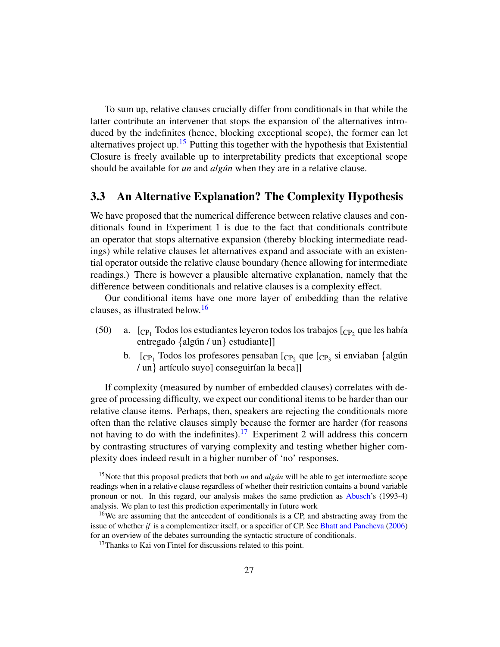To sum up, relative clauses crucially differ from conditionals in that while the latter contribute an intervener that stops the expansion of the alternatives introduced by the indefinites (hence, blocking exceptional scope), the former can let alternatives project up.<sup>[15](#page-0-0)</sup> Putting this together with the hypothesis that Existential Closure is freely available up to interpretability predicts that exceptional scope should be available for *un* and *algun* when they are in a relative clause.

### <span id="page-26-0"></span>3.3 An Alternative Explanation? The Complexity Hypothesis

We have proposed that the numerical difference between relative clauses and conditionals found in Experiment 1 is due to the fact that conditionals contribute an operator that stops alternative expansion (thereby blocking intermediate readings) while relative clauses let alternatives expand and associate with an existential operator outside the relative clause boundary (hence allowing for intermediate readings.) There is however a plausible alternative explanation, namely that the difference between conditionals and relative clauses is a complexity effect.

Our conditional items have one more layer of embedding than the relative clauses, as illustrated below.<sup>[16](#page-0-0)</sup>

- (50) a.  $\left[{\rm CP}_1\right]$  Todos los estudiantes leyeron todos los trabajos  $\left[{\rm CP}_2\right]$  que les había entregado  $\{alg \notin \mathcal{U} \mid \text{un} \}$  estudiante]]
	- b.  $\Gamma_{\rm CP_1}$  Todos los profesores pensaban  $\Gamma_{\rm CP_2}$  que  $\Gamma_{\rm CP_3}$  si enviaban {algún / un} artículo suyo] conseguirían la beca]]

If complexity (measured by number of embedded clauses) correlates with degree of processing difficulty, we expect our conditional items to be harder than our relative clause items. Perhaps, then, speakers are rejecting the conditionals more often than the relative clauses simply because the former are harder (for reasons not having to do with the indefinites).<sup>[17](#page-0-0)</sup> Experiment 2 will address this concern by contrasting structures of varying complexity and testing whether higher complexity does indeed result in a higher number of 'no' responses.

<sup>&</sup>lt;sup>15</sup>Note that this proposal predicts that both *un* and *algun* will be able to get intermediate scope readings when in a relative clause regardless of whether their restriction contains a bound variable pronoun or not. In this regard, our analysis makes the same prediction as [Abusch'](#page-51-2)s (1993-4) analysis. We plan to test this prediction experimentally in future work

<sup>16</sup>We are assuming that the antecedent of conditionals is a CP, and abstracting away from the issue of whether *if* is a complementizer itself, or a specifier of CP. See [Bhatt and Pancheva](#page-51-6) [\(2006\)](#page-51-6) for an overview of the debates surrounding the syntactic structure of conditionals.

<sup>&</sup>lt;sup>17</sup>Thanks to Kai von Fintel for discussions related to this point.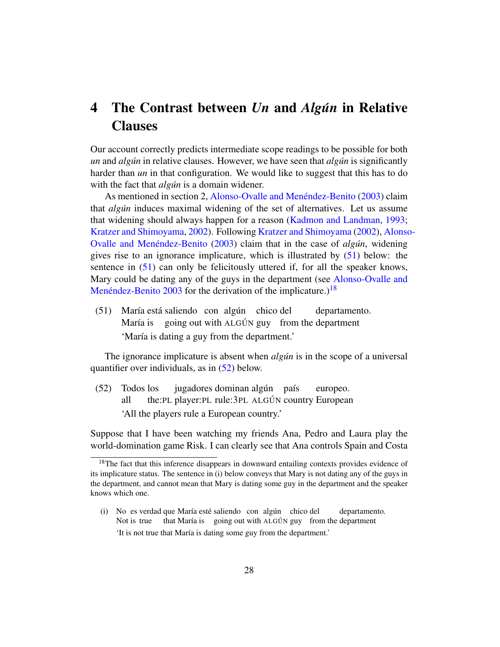# <span id="page-27-0"></span>4 The Contrast between *Un* and *Algun´* in Relative **Clauses**

Our account correctly predicts intermediate scope readings to be possible for both *un* and *algun* in relative clauses. However, we have seen that *algun* is significantly harder than *un* in that configuration. We would like to suggest that this has to do with the fact that *algun* is a domain widener.

As mentioned in section 2, Alonso-Ovalle and Menéndez-Benito [\(2003\)](#page-51-1) claim that *algun´* induces maximal widening of the set of alternatives. Let us assume that widening should always happen for a reason [\(Kadmon and Landman,](#page-53-4) [1993;](#page-53-4) [Kratzer and Shimoyama,](#page-54-0) [2002\)](#page-54-0). Following [Kratzer and Shimoyama](#page-54-0) [\(2002\)](#page-54-0), [Alonso](#page-51-1)-Ovalle and Menéndez-Benito [\(2003\)](#page-51-1) claim that in the case of *algun*, widening gives rise to an ignorance implicature, which is illustrated by [\(51\)](#page-27-1) below: the sentence in [\(51\)](#page-27-1) can only be felicitously uttered if, for all the speaker knows, Mary could be dating any of the guys in the department (see [Alonso-Ovalle and](#page-51-1) Menéndez-Benito  $2003$  for the derivation of the implicature.)<sup>[18](#page-0-0)</sup>

<span id="page-27-1"></span>(51) María está saliendo con algún chico del María is going out with ALGÚN guy from the department departamento. 'María is dating a guy from the department.'

The ignorance implicature is absent when *algun* is in the scope of a universal quantifier over individuals, as in [\(52\)](#page-27-2) below.

<span id="page-27-2"></span>(52) Todos los all the:PL player:PL rule:3PL ALGÚN country European jugadores dominan algún país europeo. 'All the players rule a European country.'

Suppose that I have been watching my friends Ana, Pedro and Laura play the world-domination game Risk. I can clearly see that Ana controls Spain and Costa

<sup>&</sup>lt;sup>18</sup>The fact that this inference disappears in downward entailing contexts provides evidence of its implicature status. The sentence in (i) below conveys that Mary is not dating any of the guys in the department, and cannot mean that Mary is dating some guy in the department and the speaker knows which one.

<sup>(</sup>i) No es verdad que María esté saliendo con algún chico del Not is true that María is going out with ALGÚN guy from the department departamento. 'It is not true that María is dating some guy from the department.'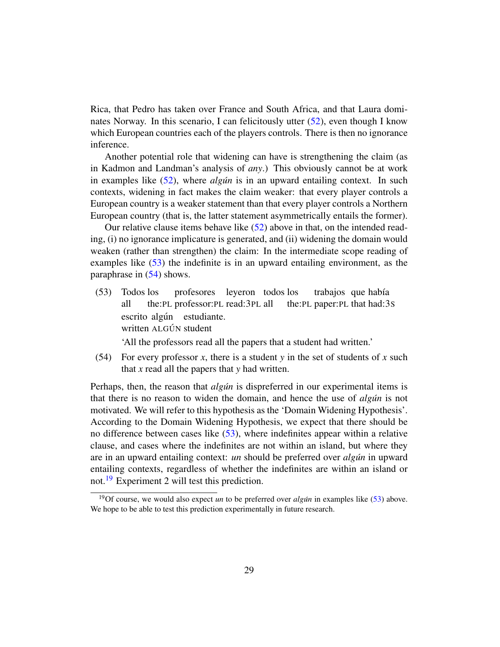Rica, that Pedro has taken over France and South Africa, and that Laura dominates Norway. In this scenario, I can felicitously utter [\(52\)](#page-27-2), even though I know which European countries each of the players controls. There is then no ignorance inference.

Another potential role that widening can have is strengthening the claim (as in Kadmon and Landman's analysis of *any*.) This obviously cannot be at work in examples like  $(52)$ , where *algun* is in an upward entailing context. In such contexts, widening in fact makes the claim weaker: that every player controls a European country is a weaker statement than that every player controls a Northern European country (that is, the latter statement asymmetrically entails the former).

Our relative clause items behave like  $(52)$  above in that, on the intended reading, (i) no ignorance implicature is generated, and (ii) widening the domain would weaken (rather than strengthen) the claim: In the intermediate scope reading of examples like [\(53\)](#page-28-0) the indefinite is in an upward entailing environment, as the paraphrase in [\(54\)](#page-28-1) shows.

<span id="page-28-0"></span>(53) Todos los all the:PL professor:PL read:3PL all profesores leyeron todos los the:PL paper:PL that had:3S trabajos que había escrito algún estudiante. written ALGÚN student

'All the professors read all the papers that a student had written.'

<span id="page-28-1"></span>(54) For every professor *x*, there is a student *y* in the set of students of *x* such that *x* read all the papers that *y* had written.

Perhaps, then, the reason that *algun* is dispreferred in our experimental items is that there is no reason to widen the domain, and hence the use of *algun* is not motivated. We will refer to this hypothesis as the 'Domain Widening Hypothesis'. According to the Domain Widening Hypothesis, we expect that there should be no difference between cases like [\(53\)](#page-28-0), where indefinites appear within a relative clause, and cases where the indefinites are not within an island, but where they are in an upward entailing context: *un* should be preferred over *algun* in upward entailing contexts, regardless of whether the indefinites are within an island or not.<sup>[19](#page-0-0)</sup> Experiment 2 will test this prediction.

<sup>&</sup>lt;sup>19</sup>Of course, we would also expect *un* to be preferred over *algun* in examples like [\(53\)](#page-28-0) above. We hope to be able to test this prediction experimentally in future research.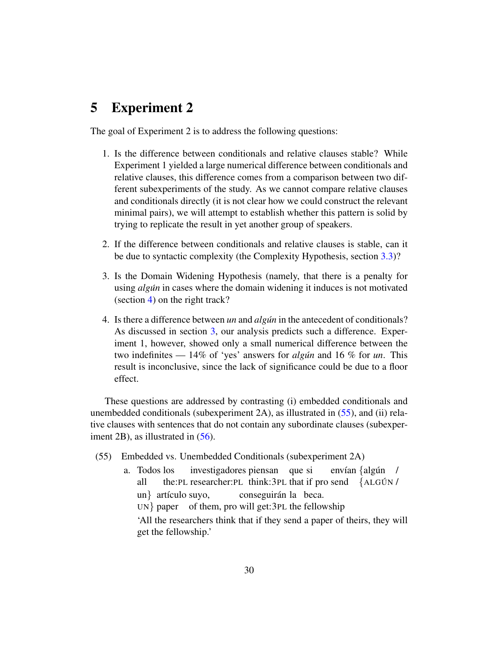# <span id="page-29-0"></span>5 Experiment 2

The goal of Experiment 2 is to address the following questions:

- 1. Is the difference between conditionals and relative clauses stable? While Experiment 1 yielded a large numerical difference between conditionals and relative clauses, this difference comes from a comparison between two different subexperiments of the study. As we cannot compare relative clauses and conditionals directly (it is not clear how we could construct the relevant minimal pairs), we will attempt to establish whether this pattern is solid by trying to replicate the result in yet another group of speakers.
- 2. If the difference between conditionals and relative clauses is stable, can it be due to syntactic complexity (the Complexity Hypothesis, section [3.3\)](#page-26-0)?
- 3. Is the Domain Widening Hypothesis (namely, that there is a penalty for using *algun´* in cases where the domain widening it induces is not motivated (section [4\)](#page-27-0) on the right track?
- 4. Is there a difference between *un* and *algun* in the antecedent of conditionals? As discussed in section [3,](#page-16-0) our analysis predicts such a difference. Experiment 1, however, showed only a small numerical difference between the two indefinites — 14% of 'yes' answers for *algun* and 16 % for *un*. This result is inconclusive, since the lack of significance could be due to a floor effect.

These questions are addressed by contrasting (i) embedded conditionals and unembedded conditionals (subexperiment 2A), as illustrated in [\(55\)](#page-29-1), and (ii) relative clauses with sentences that do not contain any subordinate clauses (subexperiment 2B), as illustrated in  $(56)$ .

- <span id="page-29-1"></span>(55) Embedded vs. Unembedded Conditionals (subexperiment 2A)
	- a. Todos los all the:PL researcher:PL think:3PL that if pro send {ALGÚN / investigadores piensan que si envían {algún / un} artículo suyo, UN} paper of them, pro will get:3PL the fellowship conseguirán la beca.

'All the researchers think that if they send a paper of theirs, they will get the fellowship.'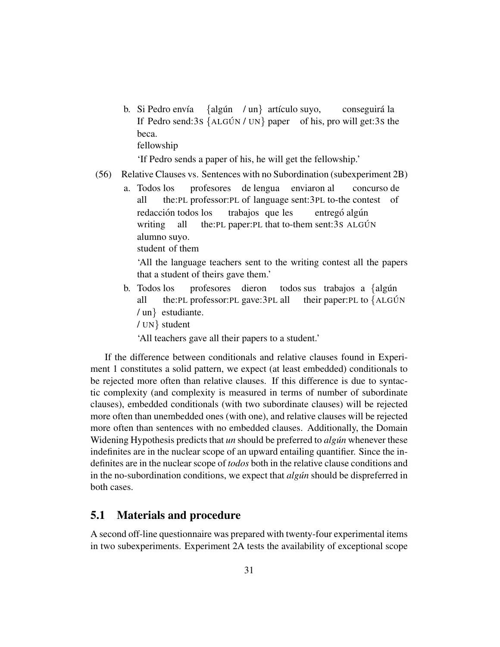b. Si Pedro envía If Pedro send:3s {ALGÚN / UN} paper of his, pro will get:3s the  $\{alg \in \mathcal{M} \mid \text{un} \}$  artículo suyo, conseguirá la beca. fellowship

'If Pedro sends a paper of his, he will get the fellowship.'

- <span id="page-30-0"></span>(56) Relative Clauses vs. Sentences with no Subordination (subexperiment 2B)
	- a. Todos los all the:PL professor:PL of language sent:3PL to-the contest of profesores de lengua enviaron al concurso de redacción todos los writing all the: PL paper: PL that to-them sent: 3S ALGÚN trabajos que les entregó algún alumno suyo.

student of them

'All the language teachers sent to the writing contest all the papers that a student of theirs gave them.'

- b. Todos los all the:PL professor:PL gave:3PL all profesores dieron todos sus trabajos a {algún their paper: PL to {ALGÚN / un} estudiante.
	- / UN} student

'All teachers gave all their papers to a student.'

If the difference between conditionals and relative clauses found in Experiment 1 constitutes a solid pattern, we expect (at least embedded) conditionals to be rejected more often than relative clauses. If this difference is due to syntactic complexity (and complexity is measured in terms of number of subordinate clauses), embedded conditionals (with two subordinate clauses) will be rejected more often than unembedded ones (with one), and relative clauses will be rejected more often than sentences with no embedded clauses. Additionally, the Domain Widening Hypothesis predicts that *un* should be preferred to *algun* whenever these indefinites are in the nuclear scope of an upward entailing quantifier. Since the indefinites are in the nuclear scope of *todos* both in the relative clause conditions and in the no-subordination conditions, we expect that *algun* should be dispreferred in both cases.

## 5.1 Materials and procedure

A second off-line questionnaire was prepared with twenty-four experimental items in two subexperiments. Experiment 2A tests the availability of exceptional scope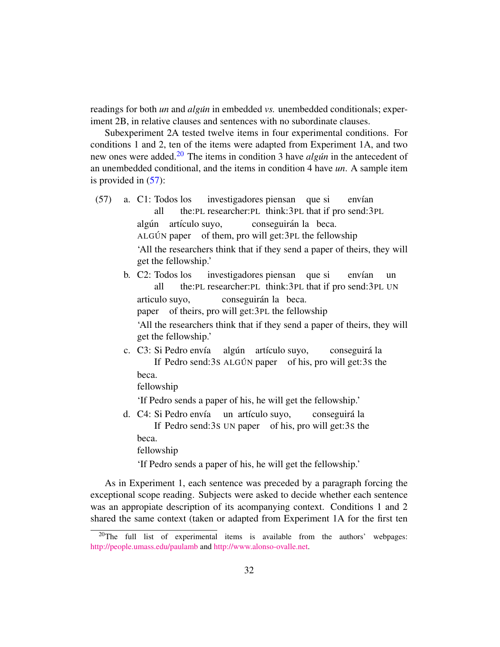readings for both *un* and *algun´* in embedded *vs.* unembedded conditionals; experiment 2B, in relative clauses and sentences with no subordinate clauses.

Subexperiment 2A tested twelve items in four experimental conditions. For conditions 1 and 2, ten of the items were adapted from Experiment 1A, and two new ones were added.<sup>[20](#page-0-0)</sup> The items in condition 3 have *algun* in the antecedent of an unembedded conditional, and the items in condition 4 have *un*. A sample item is provided in [\(57\)](#page-31-0):

- <span id="page-31-0"></span>(57) a. C1: Todos los all the:PL researcher:PL think:3PL that if pro send:3PL investigadores piensan que si envían algún artículo suyo, ALGÚN paper of them, pro will get:3PL the fellowship conseguirán la beca. 'All the researchers think that if they send a paper of theirs, they will get the fellowship.'
	- b. C2: Todos los all the: PL researcher: PL think: 3PL that if pro send: 3PL UN investigadores piensan que si envían un articulo suyo, paper of theirs, pro will get:3PL the fellowship conseguirán la beca. 'All the researchers think that if they send a paper of theirs, they will get the fellowship.'
	- c. C3: Si Pedro envía If Pedro send:3s ALGÚN paper of his, pro will get:3s the algún artículo suyo, conseguirá la beca.

fellowship

'If Pedro sends a paper of his, he will get the fellowship.'

d. C4: Si Pedro envía If Pedro send:3S UN paper of his, pro will get:3S the un artículo suyo, conseguira´ la beca.

fellowship

'If Pedro sends a paper of his, he will get the fellowship.'

As in Experiment 1, each sentence was preceded by a paragraph forcing the exceptional scope reading. Subjects were asked to decide whether each sentence was an appropiate description of its acompanying context. Conditions 1 and 2 shared the same context (taken or adapted from Experiment 1A for the first ten

<sup>&</sup>lt;sup>20</sup>The full list of experimental items is available from the authors' webpages: <http://people.umass.edu/paulamb> and [http://www.alonso-ovalle.net.](http://www.alonso-ovalle.net)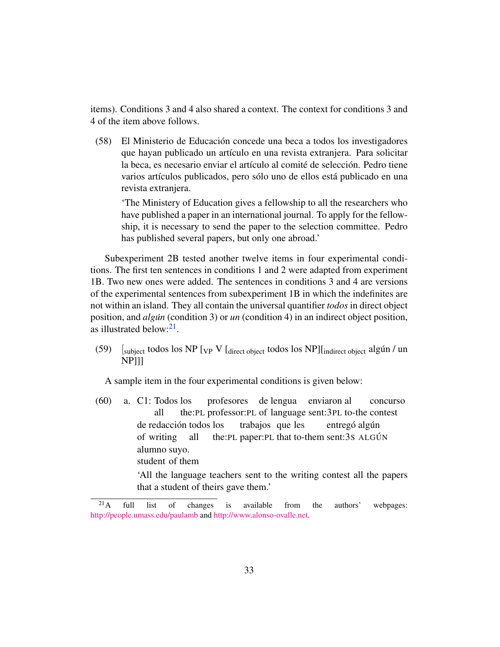items). Conditions 3 and 4 also shared a context. The context for conditions 3 and 4 of the item above follows.

(58) El Ministerio de Educacion concede una beca a todos los investigadores ´ que hayan publicado un artículo en una revista extranjera. Para solicitar la beca, es necesario enviar el artículo al comité de selección. Pedro tiene varios artículos publicados, pero sólo uno de ellos está publicado en una revista extranjera.

'The Ministery of Education gives a fellowship to all the researchers who have published a paper in an international journal. To apply for the fellowship, it is necessary to send the paper to the selection committee. Pedro has published several papers, but only one abroad.'

Subexperiment 2B tested another twelve items in four experimental conditions. The first ten sentences in conditions 1 and 2 were adapted from experiment 1B. Two new ones were added. The sentences in conditions 3 and 4 are versions of the experimental sentences from subexperiment 1B in which the indefinites are not within an island. They all contain the universal quantifier *todos* in direct object position, and *algun* (condition 3) or *un* (condition 4) in an indirect object position, as illustrated below:<sup>[21](#page-0-0)</sup>.

(59)  $\int_{\text{subject}}$  todos los NP  $\int_{\text{VP}} V \int_{\text{direct object}}$  todos los NP] $\int_{\text{indirect object}}$  algún / un NP]]]

A sample item in the four experimental conditions is given below:

(60) a. C1: Todos los all the:PL professor:PL of language sent:3PL to-the contest profesores de lengua enviaron al concurso de redacción todos los of writing all the: PL paper: PL that to-them sent: 3S ALGÚN trabajos que les entregó algún alumno suyo. student of them

> 'All the language teachers sent to the writing contest all the papers that a student of theirs gave them.'

 $2<sup>1</sup>A$  full list of changes is available from the authors' webpages: <http://people.umass.edu/paulamb> and [http://www.alonso-ovalle.net.](http://www.alonso-ovalle.net)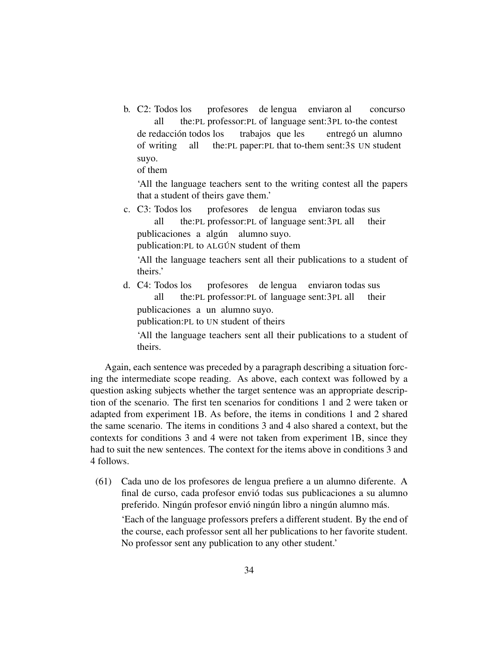b. C2: Todos los all the:PL professor:PL of language sent:3PL to-the contest profesores de lengua enviaron al concurso de redacción todos los of writing all the: PL paper: PL that to-them sent: 3s UN student trabajos que les entregó un alumno suyo.

of them

'All the language teachers sent to the writing contest all the papers that a student of theirs gave them.'

c. C3: Todos los all the:PL professor:PL of language sent:3PL all profesores de lengua enviaron todas sus their publicaciones a algún alumno suyo.

publication: PL to ALGÚN student of them

'All the language teachers sent all their publications to a student of theirs.'

d. C4: Todos los all the:PL professor:PL of language sent:3PL all profesores de lengua enviaron todas sus their publicaciones a un alumno suyo.

publication:PL to UN student of theirs

'All the language teachers sent all their publications to a student of theirs.

Again, each sentence was preceded by a paragraph describing a situation forcing the intermediate scope reading. As above, each context was followed by a question asking subjects whether the target sentence was an appropriate description of the scenario. The first ten scenarios for conditions 1 and 2 were taken or adapted from experiment 1B. As before, the items in conditions 1 and 2 shared the same scenario. The items in conditions 3 and 4 also shared a context, but the contexts for conditions 3 and 4 were not taken from experiment 1B, since they had to suit the new sentences. The context for the items above in conditions 3 and 4 follows.

(61) Cada uno de los profesores de lengua prefiere a un alumno diferente. A final de curso, cada profesor envio todas sus publicaciones a su alumno ´ preferido. Ningún profesor envió ningún libro a ningún alumno más.

'Each of the language professors prefers a different student. By the end of the course, each professor sent all her publications to her favorite student. No professor sent any publication to any other student.'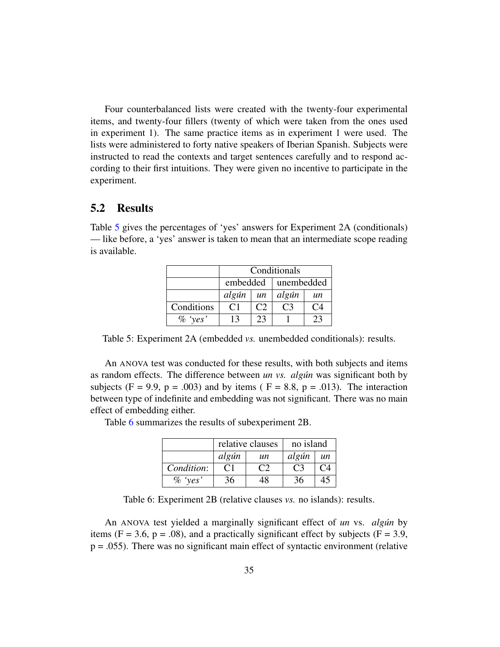Four counterbalanced lists were created with the twenty-four experimental items, and twenty-four fillers (twenty of which were taken from the ones used in experiment 1). The same practice items as in experiment 1 were used. The lists were administered to forty native speakers of Iberian Spanish. Subjects were instructed to read the contexts and target sentences carefully and to respond according to their first intuitions. They were given no incentive to participate in the experiment.

## 5.2 Results

Table [5](#page-34-0) gives the percentages of 'yes' answers for Experiment 2A (conditionals) — like before, a 'yes' answer is taken to mean that an intermediate scope reading is available.

|            | Conditionals   |               |            |     |
|------------|----------------|---------------|------------|-----|
|            | embedded       |               | unembedded |     |
|            | algún          | un            | algún      | un  |
| Conditions | C <sub>1</sub> | $\mathcal{C}$ | ( 3        | (`4 |
| $\%$ 'yes' | 13             | 23            |            |     |

<span id="page-34-0"></span>Table 5: Experiment 2A (embedded *vs.* unembedded conditionals): results.

An ANOVA test was conducted for these results, with both subjects and items as random effects. The difference between *un vs. algun´* was significant both by subjects (F = 9.9, p = .003) and by items ( $F = 8.8$ , p = .013). The interaction between type of indefinite and embedding was not significant. There was no main effect of embedding either.

Table [6](#page-34-1) summarizes the results of subexperiment 2B.

|            |       | relative clauses | no island |         |
|------------|-------|------------------|-----------|---------|
|            | algún | un               | algún     | $\mu$ n |
| Condition: |       |                  |           |         |
| $\%$ 'yes' | 36    |                  |           | 41      |

<span id="page-34-1"></span>Table 6: Experiment 2B (relative clauses *vs.* no islands): results.

An ANOVA test yielded a marginally significant effect of *un* vs. *algun´* by items ( $F = 3.6$ ,  $p = .08$ ), and a practically significant effect by subjects ( $F = 3.9$ ,  $p = .055$ ). There was no significant main effect of syntactic environment (relative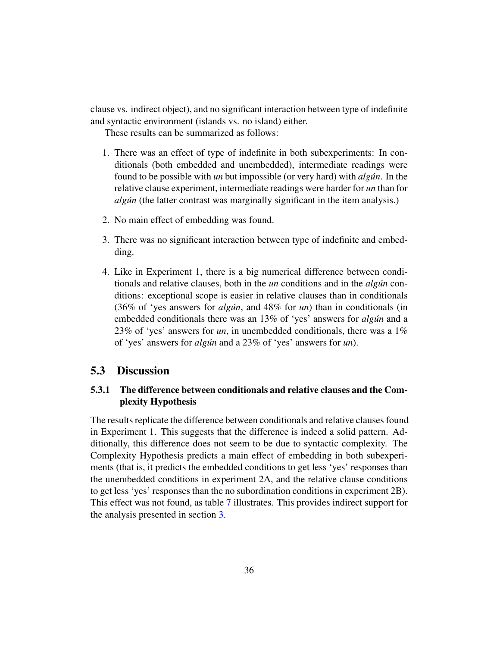clause vs. indirect object), and no significant interaction between type of indefinite and syntactic environment (islands vs. no island) either.

These results can be summarized as follows:

- 1. There was an effect of type of indefinite in both subexperiments: In conditionals (both embedded and unembedded), intermediate readings were found to be possible with *un* but impossible (or very hard) with *algun*. In the relative clause experiment, intermediate readings were harder for *un* than for *algún* (the latter contrast was marginally significant in the item analysis.)
- 2. No main effect of embedding was found.
- 3. There was no significant interaction between type of indefinite and embedding.
- 4. Like in Experiment 1, there is a big numerical difference between conditionals and relative clauses, both in the *un* conditions and in the *algun´* conditions: exceptional scope is easier in relative clauses than in conditionals (36% of 'yes answers for *algun´* , and 48% for *un*) than in conditionals (in embedded conditionals there was an 13% of 'yes' answers for *algun* and a 23% of 'yes' answers for *un*, in unembedded conditionals, there was a 1% of 'yes' answers for *algun´* and a 23% of 'yes' answers for *un*).

### 5.3 Discussion

### 5.3.1 The difference between conditionals and relative clauses and the Complexity Hypothesis

The results replicate the difference between conditionals and relative clauses found in Experiment 1. This suggests that the difference is indeed a solid pattern. Additionally, this difference does not seem to be due to syntactic complexity. The Complexity Hypothesis predicts a main effect of embedding in both subexperiments (that is, it predicts the embedded conditions to get less 'yes' responses than the unembedded conditions in experiment 2A, and the relative clause conditions to get less 'yes' responses than the no subordination conditions in experiment 2B). This effect was not found, as table [7](#page-36-0) illustrates. This provides indirect support for the analysis presented in section [3.](#page-16-0)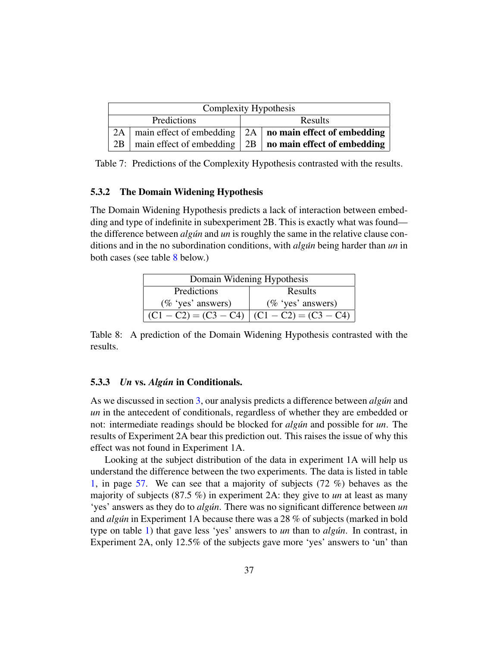| Complexity Hypothesis |  |  |                                                                        |
|-----------------------|--|--|------------------------------------------------------------------------|
| Predictions           |  |  | Results                                                                |
|                       |  |  | 2A   main effect of embedding $\vert$ 2A   no main effect of embedding |
|                       |  |  | 2B   main effect of embedding $\vert$ 2B   no main effect of embedding |

<span id="page-36-0"></span>Table 7: Predictions of the Complexity Hypothesis contrasted with the results.

#### 5.3.2 The Domain Widening Hypothesis

The Domain Widening Hypothesis predicts a lack of interaction between embedding and type of indefinite in subexperiment 2B. This is exactly what was found the difference between *algun´* and *un* is roughly the same in the relative clause conditions and in the no subordination conditions, with *algun´* being harder than *un* in both cases (see table [8](#page-36-1) below.)

| Domain Widening Hypothesis                      |                      |  |
|-------------------------------------------------|----------------------|--|
| Predictions<br>Results                          |                      |  |
| $(\%$ 'yes' answers)                            | $(\%$ 'yes' answers) |  |
| $(C1 - C2) = (C3 - C4)$ $(C1 - C2) = (C3 - C4)$ |                      |  |

<span id="page-36-1"></span>Table 8: A prediction of the Domain Widening Hypothesis contrasted with the results.

### 5.3.3 *Un* vs. *Algun´* in Conditionals.

As we discussed in section [3,](#page-16-0) our analysis predicts a difference between *algun* and *un* in the antecedent of conditionals, regardless of whether they are embedded or not: intermediate readings should be blocked for *algun* and possible for *un*. The results of Experiment 2A bear this prediction out. This raises the issue of why this effect was not found in Experiment 1A.

Looking at the subject distribution of the data in experiment 1A will help us understand the difference between the two experiments. The data is listed in table [1,](#page-56-0) in page [57.](#page-56-0) We can see that a majority of subjects (72 %) behaves as the majority of subjects (87.5 %) in experiment 2A: they give to *un* at least as many 'yes' answers as they do to *algún*. There was no significant difference between *un* and *algun´* in Experiment 1A because there was a 28 % of subjects (marked in bold type on table [1\)](#page-56-0) that gave less 'yes' answers to *un* than to *algun*. In contrast, in Experiment 2A, only 12.5% of the subjects gave more 'yes' answers to 'un' than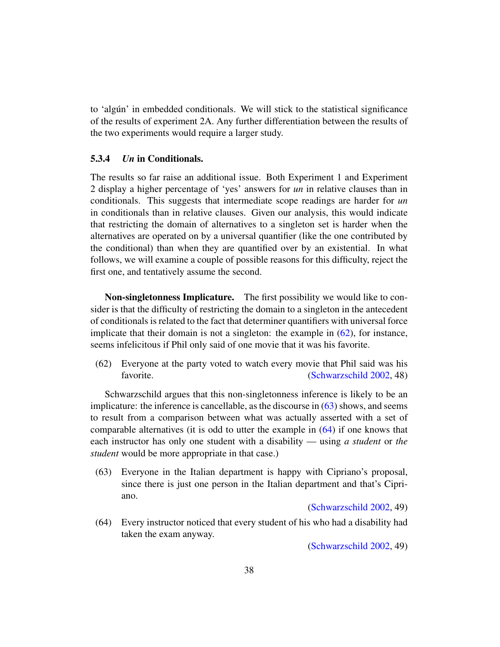to 'algun' in embedded conditionals. We will stick to the statistical significance ´ of the results of experiment 2A. Any further differentiation between the results of the two experiments would require a larger study.

### 5.3.4 *Un* in Conditionals.

The results so far raise an additional issue. Both Experiment 1 and Experiment 2 display a higher percentage of 'yes' answers for *un* in relative clauses than in conditionals. This suggests that intermediate scope readings are harder for *un* in conditionals than in relative clauses. Given our analysis, this would indicate that restricting the domain of alternatives to a singleton set is harder when the alternatives are operated on by a universal quantifier (like the one contributed by the conditional) than when they are quantified over by an existential. In what follows, we will examine a couple of possible reasons for this difficulty, reject the first one, and tentatively assume the second.

Non-singletonness Implicature. The first possibility we would like to consider is that the difficulty of restricting the domain to a singleton in the antecedent of conditionals is related to the fact that determiner quantifiers with universal force implicate that their domain is not a singleton: the example in  $(62)$ , for instance, seems infelicitous if Phil only said of one movie that it was his favorite.

<span id="page-37-0"></span>(62) Everyone at the party voted to watch every movie that Phil said was his favorite. [\(Schwarzschild](#page-55-0) [2002,](#page-55-0) 48)

Schwarzschild argues that this non-singletonness inference is likely to be an implicature: the inference is cancellable, as the discourse in [\(63\)](#page-37-1) shows, and seems to result from a comparison between what was actually asserted with a set of comparable alternatives (it is odd to utter the example in [\(64\)](#page-37-2) if one knows that each instructor has only one student with a disability — using *a student* or *the student* would be more appropriate in that case.)

<span id="page-37-1"></span>(63) Everyone in the Italian department is happy with Cipriano's proposal, since there is just one person in the Italian department and that's Cipriano.

[\(Schwarzschild](#page-55-0) [2002,](#page-55-0) 49)

<span id="page-37-2"></span>(64) Every instructor noticed that every student of his who had a disability had taken the exam anyway.

[\(Schwarzschild](#page-55-0) [2002,](#page-55-0) 49)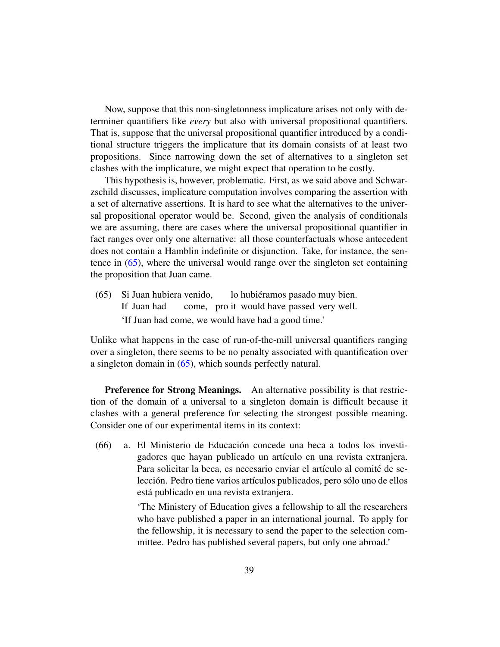Now, suppose that this non-singletonness implicature arises not only with determiner quantifiers like *every* but also with universal propositional quantifiers. That is, suppose that the universal propositional quantifier introduced by a conditional structure triggers the implicature that its domain consists of at least two propositions. Since narrowing down the set of alternatives to a singleton set clashes with the implicature, we might expect that operation to be costly.

This hypothesis is, however, problematic. First, as we said above and Schwarzschild discusses, implicature computation involves comparing the assertion with a set of alternative assertions. It is hard to see what the alternatives to the universal propositional operator would be. Second, given the analysis of conditionals we are assuming, there are cases where the universal propositional quantifier in fact ranges over only one alternative: all those counterfactuals whose antecedent does not contain a Hamblin indefinite or disjunction. Take, for instance, the sentence in [\(65\)](#page-38-0), where the universal would range over the singleton set containing the proposition that Juan came.

<span id="page-38-0"></span>(65) Si Juan hubiera venido, If Juan had come, pro it would have passed very well. lo hubiéramos pasado muy bien. 'If Juan had come, we would have had a good time.'

Unlike what happens in the case of run-of-the-mill universal quantifiers ranging over a singleton, there seems to be no penalty associated with quantification over a singleton domain in [\(65\)](#page-38-0), which sounds perfectly natural.

**Preference for Strong Meanings.** An alternative possibility is that restriction of the domain of a universal to a singleton domain is difficult because it clashes with a general preference for selecting the strongest possible meaning. Consider one of our experimental items in its context:

(66) a. El Ministerio de Educacion concede una beca a todos los investi- ´ gadores que hayan publicado un artículo en una revista extranjera. Para solicitar la beca, es necesario enviar el artículo al comité de selección. Pedro tiene varios artículos publicados, pero sólo uno de ellos está publicado en una revista extranjera.

> 'The Ministery of Education gives a fellowship to all the researchers who have published a paper in an international journal. To apply for the fellowship, it is necessary to send the paper to the selection committee. Pedro has published several papers, but only one abroad.'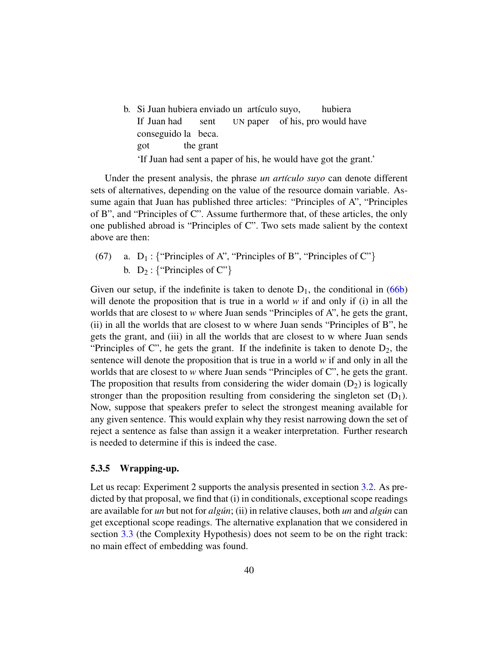<span id="page-39-0"></span>b. Si Juan hubiera enviado un artículo suyo, If Juan had sent UN paper of his, pro would have hubiera conseguido la beca. got the grant 'If Juan had sent a paper of his, he would have got the grant.'

Under the present analysis, the phrase *un artículo suyo* can denote different sets of alternatives, depending on the value of the resource domain variable. Assume again that Juan has published three articles: "Principles of A", "Principles of B", and "Principles of C". Assume furthermore that, of these articles, the only one published abroad is "Principles of C". Two sets made salient by the context above are then:

(67) a.  $D_1$ : {"Principles of A", "Principles of B", "Principles of C"} b.  $D_2$ : {"Principles of C"}

Given our setup, if the indefinite is taken to denote  $D_1$ , the conditional in [\(66b\)](#page-39-0) will denote the proposition that is true in a world *w* if and only if (i) in all the worlds that are closest to *w* where Juan sends "Principles of A", he gets the grant, (ii) in all the worlds that are closest to w where Juan sends "Principles of B", he gets the grant, and (iii) in all the worlds that are closest to w where Juan sends "Principles of C", he gets the grant. If the indefinite is taken to denote  $D_2$ , the sentence will denote the proposition that is true in a world *w* if and only in all the worlds that are closest to *w* where Juan sends "Principles of C", he gets the grant. The proposition that results from considering the wider domain  $(D_2)$  is logically stronger than the proposition resulting from considering the singleton set  $(D_1)$ . Now, suppose that speakers prefer to select the strongest meaning available for any given sentence. This would explain why they resist narrowing down the set of reject a sentence as false than assign it a weaker interpretation. Further research is needed to determine if this is indeed the case.

### 5.3.5 Wrapping-up.

Let us recap: Experiment 2 supports the analysis presented in section [3.2.](#page-19-0) As predicted by that proposal, we find that (i) in conditionals, exceptional scope readings are available for *un* but not for *algun*; (ii) in relative clauses, both *un* and *algun* can get exceptional scope readings. The alternative explanation that we considered in section [3.3](#page-26-0) (the Complexity Hypothesis) does not seem to be on the right track: no main effect of embedding was found.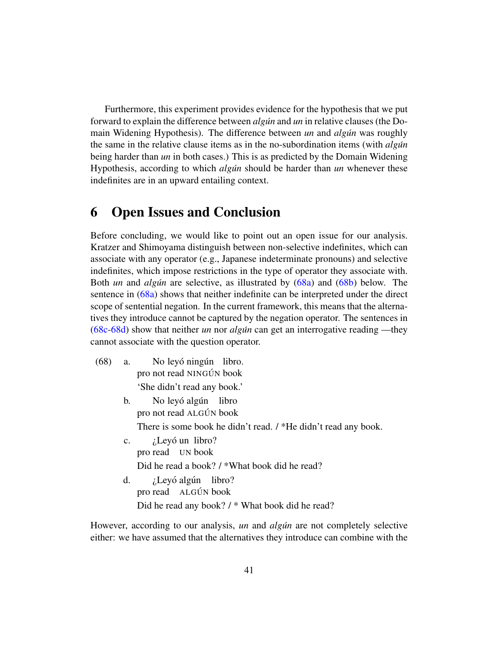Furthermore, this experiment provides evidence for the hypothesis that we put forward to explain the difference between *algun* and *un* in relative clauses (the Domain Widening Hypothesis). The difference between *un* and *algun* was roughly the same in the relative clause items as in the no-subordination items (with *algun´* being harder than *un* in both cases.) This is as predicted by the Domain Widening Hypothesis, according to which *algun* should be harder than *un* whenever these indefinites are in an upward entailing context.

# <span id="page-40-0"></span>6 Open Issues and Conclusion

Before concluding, we would like to point out an open issue for our analysis. Kratzer and Shimoyama distinguish between non-selective indefinites, which can associate with any operator (e.g., Japanese indeterminate pronouns) and selective indefinites, which impose restrictions in the type of operator they associate with. Both *un* and *algun* are selective, as illustrated by [\(68a\)](#page-40-1) and [\(68b\)](#page-40-2) below. The sentence in [\(68a\)](#page-40-1) shows that neither indefinite can be interpreted under the direct scope of sentential negation. In the current framework, this means that the alternatives they introduce cannot be captured by the negation operator. The sentences in [\(68c](#page-40-3)[-68d\)](#page-40-4) show that neither *un* nor *algun´* can get an interrogative reading —they cannot associate with the question operator.

- <span id="page-40-3"></span><span id="page-40-2"></span><span id="page-40-1"></span>(68) a. pro not read NINGÚN book No leyó ningún libro. 'She didn't read any book.'
	- b. pro not read ALGÚN book No leyó algún libro There is some book he didn't read. / \*He didn't read any book.
	- c. pro read UN book ¿Leyó un libro? Did he read a book? / \*What book did he read? d. ¿Leyó algún libro?
	- pro read ALGÚN book Did he read any book? / \* What book did he read?

<span id="page-40-4"></span>However, according to our analysis, *un* and *algun* are not completely selective either: we have assumed that the alternatives they introduce can combine with the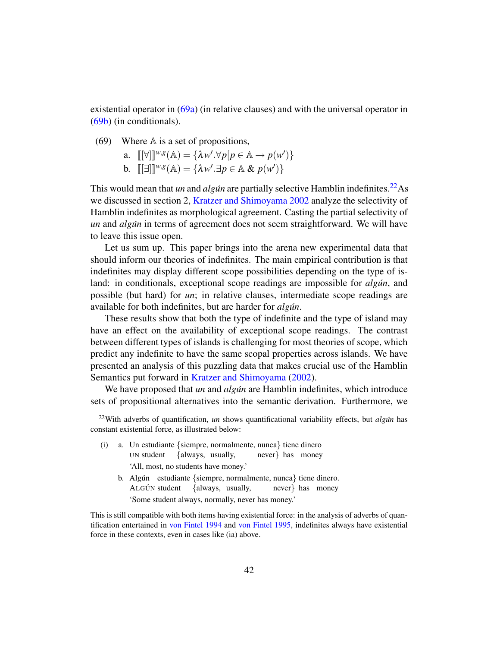existential operator in [\(69a\)](#page-41-0) (in relative clauses) and with the universal operator in [\(69b\)](#page-41-1) (in conditionals).

<span id="page-41-0"></span>(69) Where  $A$  is a set of propositions,

a. 
$$
\llbracket [\forall] \rrbracket^{w,g}(\mathbb{A}) = \{ \lambda w'. \forall p[p \in \mathbb{A} \rightarrow p(w') \}
$$
  
b. 
$$
\llbracket [\exists] \rrbracket^{w,g}(\mathbb{A}) = \{ \lambda w'. \exists p \in \mathbb{A} \& p(w') \}
$$

<span id="page-41-1"></span>This would mean that *un* and *algun* are partially selective Hamblin indefinites.<sup>[22](#page-0-0)</sup>As we discussed in section 2, [Kratzer and Shimoyama](#page-54-0) [2002](#page-54-0) analyze the selectivity of Hamblin indefinites as morphological agreement. Casting the partial selectivity of *un* and *algún* in terms of agreement does not seem straightforward. We will have to leave this issue open.

Let us sum up. This paper brings into the arena new experimental data that should inform our theories of indefinites. The main empirical contribution is that indefinites may display different scope possibilities depending on the type of island: in conditionals, exceptional scope readings are impossible for *algun*, and possible (but hard) for *un*; in relative clauses, intermediate scope readings are available for both indefinites, but are harder for *algun*.

These results show that both the type of indefinite and the type of island may have an effect on the availability of exceptional scope readings. The contrast between different types of islands is challenging for most theories of scope, which predict any indefinite to have the same scopal properties across islands. We have presented an analysis of this puzzling data that makes crucial use of the Hamblin Semantics put forward in [Kratzer and Shimoyama](#page-54-0) [\(2002\)](#page-54-0).

We have proposed that *un* and *algun* are Hamblin indefinites, which introduce sets of propositional alternatives into the semantic derivation. Furthermore, we

- (i) a. Un estudiante {siempre, normalmente, nunca} tiene dinero UN student {always, usually, never} has money 'All, most, no students have money.'
	- b. Algún estudiante {siempre, normalmente, nunca} tiene dinero. ALGÚN student {always, usually, never} has money 'Some student always, normally, never has money.'

<sup>&</sup>lt;sup>22</sup>With adverbs of quantification, *un* shows quantificational variability effects, but *algún* has constant existential force, as illustrated below:

This is still compatible with both items having existential force: in the analysis of adverbs of quantification entertained in [von Fintel](#page-52-6) [1994](#page-52-6) and [von Fintel](#page-52-10) [1995,](#page-52-10) indefinites always have existential force in these contexts, even in cases like (ia) above.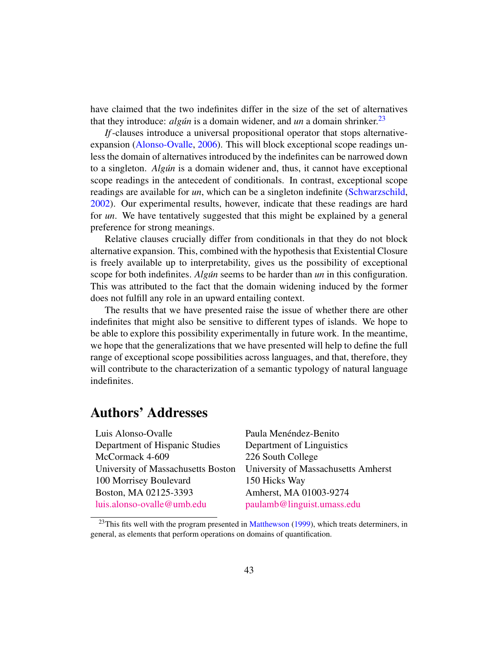have claimed that the two indefinites differ in the size of the set of alternatives that they introduce: *algun* is a domain widener, and *un* a domain shrinker.<sup>[23](#page-0-0)</sup>

*If*-clauses introduce a universal propositional operator that stops alternativeexpansion [\(Alonso-Ovalle,](#page-51-0) [2006\)](#page-51-0). This will block exceptional scope readings unless the domain of alternatives introduced by the indefinites can be narrowed down to a singleton. *Algun´* is a domain widener and, thus, it cannot have exceptional scope readings in the antecedent of conditionals. In contrast, exceptional scope readings are available for *un*, which can be a singleton indefinite [\(Schwarzschild,](#page-55-0) [2002\)](#page-55-0). Our experimental results, however, indicate that these readings are hard for *un*. We have tentatively suggested that this might be explained by a general preference for strong meanings.

Relative clauses crucially differ from conditionals in that they do not block alternative expansion. This, combined with the hypothesis that Existential Closure is freely available up to interpretability, gives us the possibility of exceptional scope for both indefinites. *Algun* seems to be harder than *un* in this configuration. This was attributed to the fact that the domain widening induced by the former does not fulfill any role in an upward entailing context.

The results that we have presented raise the issue of whether there are other indefinites that might also be sensitive to different types of islands. We hope to be able to explore this possibility experimentally in future work. In the meantime, we hope that the generalizations that we have presented will help to define the full range of exceptional scope possibilities across languages, and that, therefore, they will contribute to the characterization of a semantic typology of natural language indefinites.

# Authors' Addresses

Luis Alonso-Ovalle <sup>Paula</sup> Menendez-Benito Department of Hispanic Studies Department of Linguistics McCormack 4-609 226 South College 100 Morrisey Boulevard 150 Hicks Way Boston, MA 02125-3393 Amherst, MA 01003-9274 [luis.alonso-ovalle@umb.edu](mailto:luis.alonso-ovalle@umb.edu) [paulamb@linguist.umass.edu](mailto:paulamb@linguist.umass.edu)

University of Massachusetts Boston University of Massachusetts Amherst

 $23$ This fits well with the program presented in [Matthewson](#page-54-3) [\(1999\)](#page-54-3), which treats determiners, in general, as elements that perform operations on domains of quantification.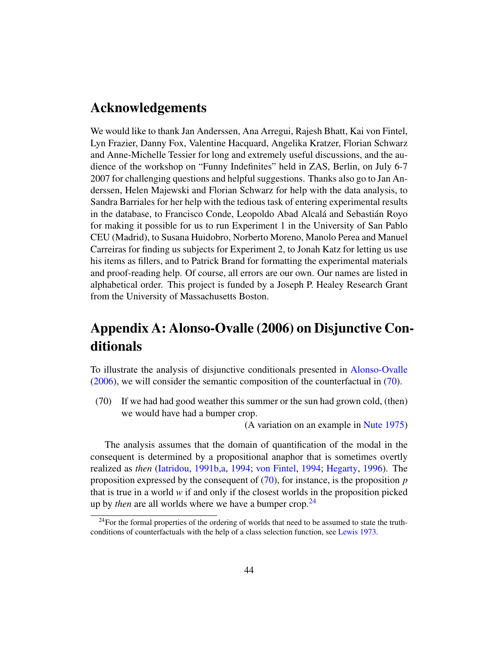# Acknowledgements

We would like to thank Jan Anderssen, Ana Arregui, Rajesh Bhatt, Kai von Fintel, Lyn Frazier, Danny Fox, Valentine Hacquard, Angelika Kratzer, Florian Schwarz and Anne-Michelle Tessier for long and extremely useful discussions, and the audience of the workshop on "Funny Indefinites" held in ZAS, Berlin, on July 6-7 2007 for challenging questions and helpful suggestions. Thanks also go to Jan Anderssen, Helen Majewski and Florian Schwarz for help with the data analysis, to Sandra Barriales for her help with the tedious task of entering experimental results in the database, to Francisco Conde, Leopoldo Abad Alcalá and Sebastián Royo for making it possible for us to run Experiment 1 in the University of San Pablo CEU (Madrid), to Susana Huidobro, Norberto Moreno, Manolo Perea and Manuel Carreiras for finding us subjects for Experiment 2, to Jonah Katz for letting us use his items as fillers, and to Patrick Brand for formatting the experimental materials and proof-reading help. Of course, all errors are our own. Our names are listed in alphabetical order. This project is funded by a Joseph P. Healey Research Grant from the University of Massachusetts Boston.

# Appendix A: Alonso-Ovalle (2006) on Disjunctive Conditionals

To illustrate the analysis of disjunctive conditionals presented in [Alonso-Ovalle](#page-51-0) [\(2006\)](#page-51-0), we will consider the semantic composition of the counterfactual in [\(70\)](#page-43-0).

<span id="page-43-0"></span>(70) If we had had good weather this summer or the sun had grown cold, (then) we would have had a bumper crop.

(A variation on an example in [Nute](#page-54-10) [1975\)](#page-54-10)

The analysis assumes that the domain of quantification of the modal in the consequent is determined by a propositional anaphor that is sometimes overtly realized as *then* [\(Iatridou,](#page-53-8) [1991b,](#page-53-8)[a,](#page-53-9) [1994;](#page-53-10) [von Fintel,](#page-52-6) [1994;](#page-52-6) [Hegarty,](#page-53-11) [1996\)](#page-53-11). The proposition expressed by the consequent of [\(70\)](#page-43-0), for instance, is the proposition *p* that is true in a world *w* if and only if the closest worlds in the proposition picked up by *then* are all worlds where we have a bumper crop.<sup>[24](#page-0-0)</sup>

 $^{24}$ For the formal properties of the ordering of worlds that need to be assumed to state the truthconditions of counterfactuals with the help of a class selection function, see [Lewis](#page-54-11) [1973.](#page-54-11)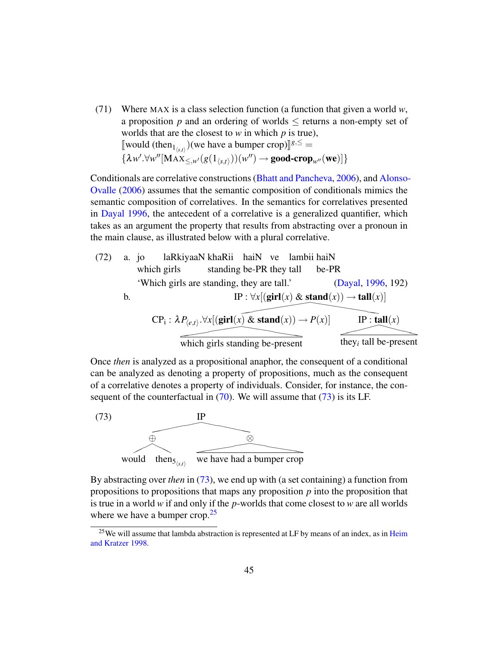(71) Where MAX is a class selection function (a function that given a world *w*, a proposition  $p$  and an ordering of worlds  $\leq$  returns a non-empty set of worlds that are the closest to *w* in which *p* is true), [would (then<sub>1<sub>(s,t)</sub></sub>)(we have a bumper crop)]<sup>g,≤</sup> =  $\{\lambda w'.\forall w''[\text{MAX}_{\leq,w'}(g(1_{\langle s,t\rangle}))(w'')\rightarrow \textbf{good-crop}_{w''}(\textbf{we})]\}$ 

Conditionals are correlative constructions [\(Bhatt and Pancheva,](#page-51-6) [2006\)](#page-51-6), and [Alonso-](#page-51-0)[Ovalle](#page-51-0) [\(2006\)](#page-51-0) assumes that the semantic composition of conditionals mimics the semantic composition of correlatives. In the semantics for correlatives presented in [Dayal](#page-51-9) [1996,](#page-51-9) the antecedent of a correlative is a generalized quantifier, which takes as an argument the property that results from abstracting over a pronoun in the main clause, as illustrated below with a plural correlative.

(72) a. jo lakkiyaaN khakii haiN  
which girls standing be-PR they tall be-PR  
'Which girls are standing, they are tall.' (Dayal, 1996, 192)  
b.  

$$
IP: \forall x [(\text{girl}(x) \& \text{stand}(x)) \rightarrow \text{tall}(x)]
$$
  

$$
CP_i: \lambda P_{\langle e,t \rangle}. \forall x [(\text{girl}(x) \& \text{stand}(x)) \rightarrow P(x)]
$$
  
which girls standing be-present  
they<sub>i</sub> tall be-present

Once *then* is analyzed as a propositional anaphor, the consequent of a conditional can be analyzed as denoting a property of propositions, much as the consequent of a correlative denotes a property of individuals. Consider, for instance, the consequent of the counterfactual in  $(70)$ . We will assume that  $(73)$  is its LF.

<span id="page-44-0"></span>

By abstracting over *then* in [\(73\)](#page-44-0), we end up with (a set containing) a function from propositions to propositions that maps any proposition *p* into the proposition that is true in a world *w* if and only if the *p*-worlds that come closest to *w* are all worlds where we have a bumper crop.<sup>[25](#page-0-0)</sup>

 $25$ We will assume that lambda abstraction is represented at LF by means of an index, as in [Heim](#page-53-12) [and Kratzer](#page-53-12) [1998.](#page-53-12)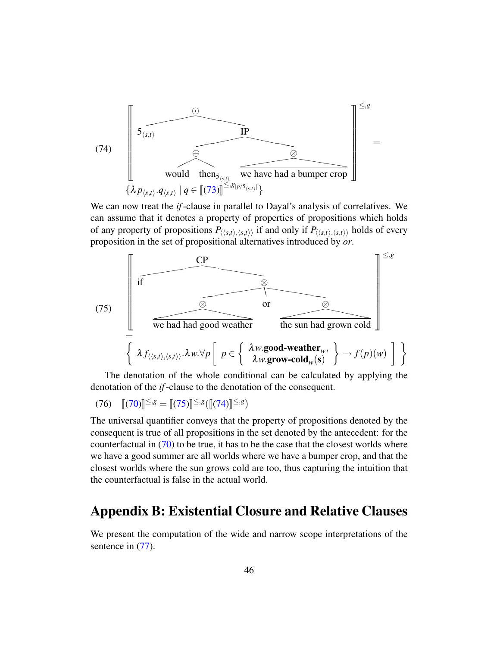<span id="page-45-1"></span>

We can now treat the *if*-clause in parallel to Dayal's analysis of correlatives. We can assume that it denotes a property of properties of propositions which holds of any property of propositions  $P_{\langle\langle s,t\rangle,\langle s,t\rangle\rangle}$  if and only if  $P_{\langle\langle s,t\rangle,\langle s,t\rangle\rangle}$  holds of every proposition in the set of propositional alternatives introduced by *or*.

<span id="page-45-0"></span>

The denotation of the whole conditional can be calculated by applying the denotation of the *if*-clause to the denotation of the consequent.

$$
(76) \quad [[(70)]^{\leq, g} = [[(75)]^{\leq, g}([[(74)]^{\leq, g})
$$

The universal quantifier conveys that the property of propositions denoted by the consequent is true of all propositions in the set denoted by the antecedent: for the counterfactual in [\(70\)](#page-43-0) to be true, it has to be the case that the closest worlds where we have a good summer are all worlds where we have a bumper crop, and that the closest worlds where the sun grows cold are too, thus capturing the intuition that the counterfactual is false in the actual world.

# Appendix B: Existential Closure and Relative Clauses

We present the computation of the wide and narrow scope interpretations of the sentence in  $(77)$ .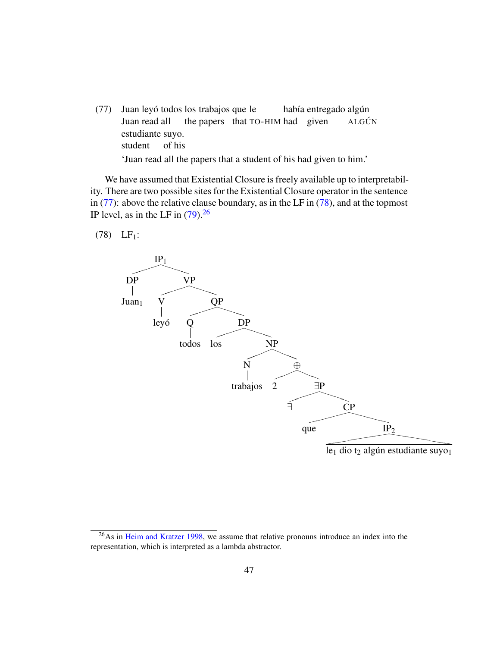<span id="page-46-0"></span>(77) Juan leyó todos los trabajos que le Juan read all the papers that TO-HIM had given había entregado algún **ALGÚN** estudiante suyo. student of his 'Juan read all the papers that a student of his had given to him.'

We have assumed that Existential Closure is freely available up to interpretability. There are two possible sites for the Existential Closure operator in the sentence in [\(77\)](#page-46-0): above the relative clause boundary, as in the LF in [\(78\)](#page-46-1), and at the topmost IP level, as in the LF in  $(79)$ .<sup>[26](#page-0-0)</sup>

<span id="page-46-1"></span> $(78)$  LF<sub>1</sub>:



<sup>&</sup>lt;sup>26</sup>As in [Heim and Kratzer](#page-53-12) [1998,](#page-53-12) we assume that relative pronouns introduce an index into the representation, which is interpreted as a lambda abstractor.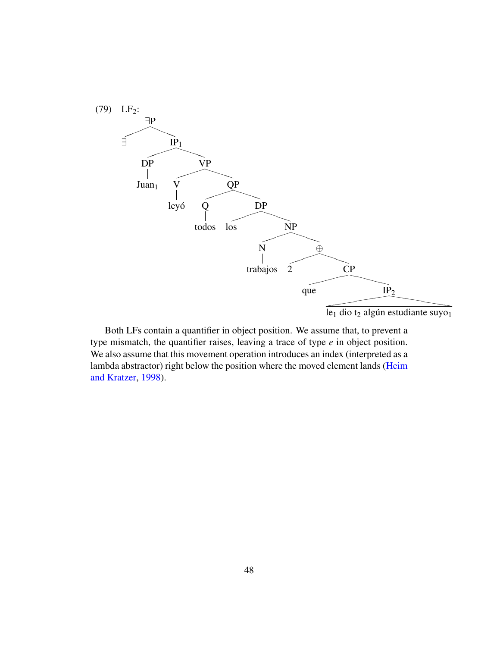<span id="page-47-0"></span>

 $1e_1$  dio t<sub>2</sub> algún estudiante suyo<sub>1</sub>

<span id="page-47-1"></span>Both LFs contain a quantifier in object position. We assume that, to prevent a type mismatch, the quantifier raises, leaving a trace of type *e* in object position. We also assume that this movement operation introduces an index (interpreted as a lambda abstractor) right below the position where the moved element lands [\(Heim](#page-53-12) [and Kratzer,](#page-53-12) [1998\)](#page-53-12).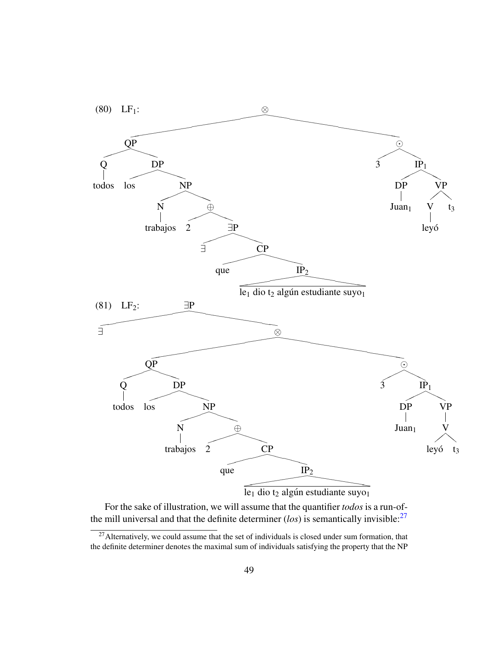<span id="page-48-0"></span>

For the sake of illustration, we will assume that the quantifier *todos* is a run-ofthe mill universal and that the definite determiner (*los*) is semantically invisible:[27](#page-0-0)

 $27$ Alternatively, we could assume that the set of individuals is closed under sum formation, that the definite determiner denotes the maximal sum of individuals satisfying the property that the NP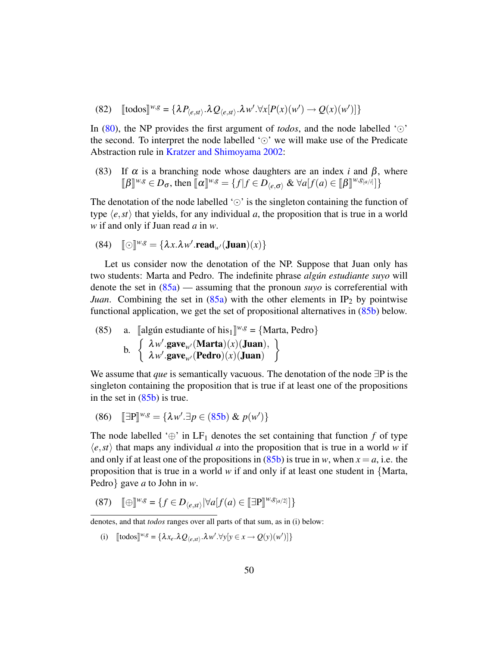(82) 
$$
\llbracket \text{today} \rrbracket^{w,g} = \{ \lambda P_{\langle e, st \rangle} . \lambda Q_{\langle e, st \rangle} . \lambda w' . \forall x [P(x)(w') \to Q(x)(w')] \}
$$

In [\(80\)](#page-47-1), the NP provides the first argument of *todos*, and the node labelled ' $\odot$ ' the second. To interpret the node labelled ' $\odot$ ' we will make use of the Predicate Abstraction rule in [Kratzer and Shimoyama](#page-54-0) [2002:](#page-54-0)

(83) If  $\alpha$  is a branching node whose daughters are an index *i* and  $\beta$ , where  $[\![\beta\]]^{w,g} \in D_{\sigma}$ , then  $[\![\alpha\]]^{w,g} = \{f | f \in D_{\langle e,\sigma \rangle} \& \forall a [f(a) \in [\![\beta\]]^{w,g_{[a/i]}}]\}$ 

The denotation of the node labelled ' $\odot$ ' is the singleton containing the function of type  $\langle e, st \rangle$  that yields, for any individual *a*, the proposition that is true in a world *w* if and only if Juan read *a* in *w*.

(84) 
$$
[\![\odot]\!]^{w,g} = {\lambda x. \lambda w'.\mathbf{read}_{w'}(\mathbf{Juan})(x)}
$$

Let us consider now the denotation of the NP. Suppose that Juan only has two students: Marta and Pedro. The indefinite phrase *algun estudiante suyo ´* will denote the set in [\(85a\)](#page-49-0) — assuming that the pronoun *suyo* is correferential with *Juan*. Combining the set in  $(85a)$  with the other elements in IP<sub>2</sub> by pointwise functional application, we get the set of propositional alternatives in [\(85b\)](#page-49-1) below.

<span id="page-49-1"></span><span id="page-49-0"></span>(85) a. [algún estudiante of his<sub>1</sub>]<sup>w,g</sup> = {Marta, Pedro}  
b. 
$$
\begin{cases} \lambda w'.\mathbf{gave}_{w'}(\mathbf{Marta})(x)(\mathbf{Juan}), \\ \lambda w'.\mathbf{gave}_{w'}(\mathbf{Pedro})(x)(\mathbf{Juan}) \end{cases}
$$

We assume that *que* is semantically vacuous. The denotation of the node ∃P is the singleton containing the proposition that is true if at least one of the propositions in the set in  $(85b)$  is true.

(86) 
$$
\mathbb{E} \mathbb{P} \mathbb{P}^{w,g} = \{ \lambda w'. \exists p \in (85b) \& p(w') \}
$$

The node labelled ' $\oplus$ ' in LF<sub>1</sub> denotes the set containing that function *f* of type  $\langle e, st \rangle$  that maps any individual *a* into the proposition that is true in a world *w* if and only if at least one of the propositions in  $(85b)$  is true in *w*, when  $x = a$ , i.e. the proposition that is true in a world *w* if and only if at least one student in {Marta, Pedro} gave *a* to John in *w*.

<span id="page-49-2"></span>
$$
(87) \quad \lbrack\!\lbrack \oplus \rbrack\!\rbrack^{w,g} = \{ f \in D_{\langle e, st \rangle} \, |\forall a[f(a) \in \lbrack \lbrack \exists P \rbrack\!\rbrack^{w,g_{[a/2]}}] \}
$$

(i)  $[\text{todos}]\{w, g\} = {\lambda x_e \cdot \lambda Q_{\langle e, st \rangle} \cdot \lambda w' \cdot \forall y[y \in x \rightarrow Q(y)(w')] }$ 

denotes, and that *todos* ranges over all parts of that sum, as in (i) below: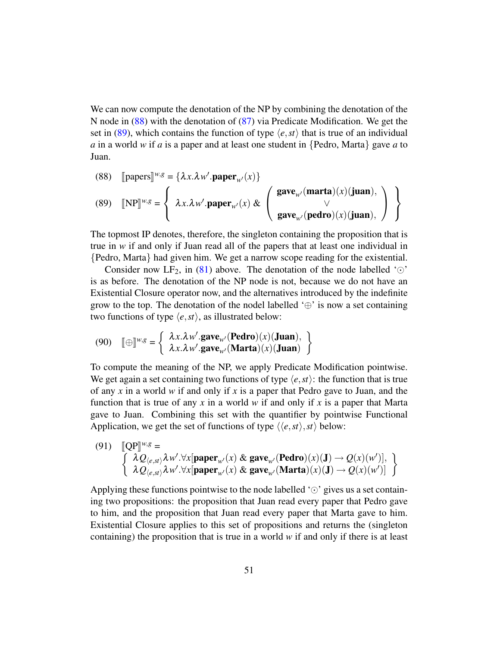We can now compute the denotation of the NP by combining the denotation of the N node in [\(88\)](#page-50-0) with the denotation of [\(87\)](#page-49-2) via Predicate Modification. We get the set in [\(89\)](#page-50-1), which contains the function of type  $\langle e, st \rangle$  that is true of an individual *a* in a world *w* if *a* is a paper and at least one student in {Pedro, Marta} gave *a* to Juan.

<span id="page-50-1"></span><span id="page-50-0"></span>(88) [papers] 
$$
^{w,g} = \{\lambda x. \lambda w'.paper_{w'}(x)\}
$$
  
\n(89) [NP]  $^{w,g} = \left\{\lambda x. \lambda w'.paper_{w'}(x) \& \begin{pmatrix} \text{gave}_{w'}(\text{marta})(x)(\text{juan}), \\ \vee \\ \text{gave}_{w'}(\text{pedro})(x)(\text{juan}), \end{pmatrix} \right\}$ 

The topmost IP denotes, therefore, the singleton containing the proposition that is true in *w* if and only if Juan read all of the papers that at least one individual in {Pedro, Marta} had given him. We get a narrow scope reading for the existential.

Consider now LF<sub>2</sub>, in [\(81\)](#page-48-0) above. The denotation of the node labelled ' $\odot$ ' is as before. The denotation of the NP node is not, because we do not have an Existential Closure operator now, and the alternatives introduced by the indefinite grow to the top. The denotation of the nodel labelled  $\oplus$  is now a set containing two functions of type  $\langle e, st \rangle$ , as illustrated below:

(90) 
$$
\llbracket \oplus \rrbracket^{w,g} = \left\{ \begin{array}{l} \lambda x. \lambda w'.\mathbf{gave}_{w'}(\mathbf{Pedro})(x)(\mathbf{Juan}), \\ \lambda x. \lambda w'.\mathbf{gave}_{w'}(\mathbf{Marta})(x)(\mathbf{Juan}) \end{array} \right\}
$$

To compute the meaning of the NP, we apply Predicate Modification pointwise. We get again a set containing two functions of type  $\langle e, st \rangle$ : the function that is true of any *x* in a world *w* if and only if *x* is a paper that Pedro gave to Juan, and the function that is true of any *x* in a world *w* if and only if *x* is a paper that Marta gave to Juan. Combining this set with the quantifier by pointwise Functional Application, we get the set of functions of type  $\langle \langle e, st \rangle, st \rangle$  below:

(91) 
$$
\begin{bmatrix} \mathbb{Q}P \end{bmatrix}^{w,g} = \begin{cases} \lambda Q_{(e, st)} \lambda w'. \forall x [\text{paper}_{w'}(x) \& \text{gave}_{w'}(\text{Pedro})(x)(J) \rightarrow Q(x)(w')] \\ \lambda Q_{(e, st)} \lambda w'. \forall x [\text{paper}_{w'}(x) \& \text{gave}_{w'}(\text{Marta})(x)(J) \rightarrow Q(x)(w')] \end{bmatrix}
$$

Applying these functions pointwise to the node labelled ' $\odot$ ' gives us a set containing two propositions: the proposition that Juan read every paper that Pedro gave to him, and the proposition that Juan read every paper that Marta gave to him. Existential Closure applies to this set of propositions and returns the (singleton containing) the proposition that is true in a world *w* if and only if there is at least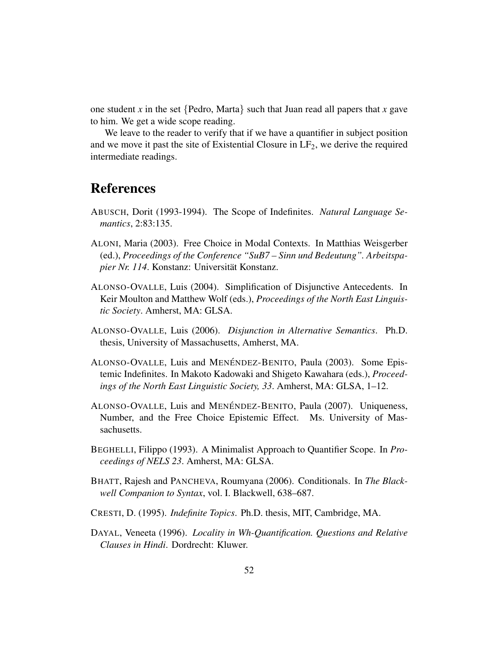one student *x* in the set  $\{$  Pedro, Marta $\}$  such that Juan read all papers that *x* gave to him. We get a wide scope reading.

We leave to the reader to verify that if we have a quantifier in subject position and we move it past the site of Existential Closure in  $LF<sub>2</sub>$ , we derive the required intermediate readings.

# References

- <span id="page-51-2"></span>ABUSCH, Dorit (1993-1994). The Scope of Indefinites. *Natural Language Semantics*, 2:83:135.
- <span id="page-51-7"></span>ALONI, Maria (2003). Free Choice in Modal Contexts. In Matthias Weisgerber (ed.), *Proceedings of the Conference "SuB7 – Sinn und Bedeutung". Arbeitspapier Nr. 114.* Konstanz: Universität Konstanz.
- <span id="page-51-8"></span>ALONSO-OVALLE, Luis (2004). Simplification of Disjunctive Antecedents. In Keir Moulton and Matthew Wolf (eds.), *Proceedings of the North East Linguistic Society*. Amherst, MA: GLSA.
- <span id="page-51-0"></span>ALONSO-OVALLE, Luis (2006). *Disjunction in Alternative Semantics*. Ph.D. thesis, University of Massachusetts, Amherst, MA.
- <span id="page-51-1"></span>ALONSO-OVALLE, Luis and MENÉNDEZ-BENITO, Paula (2003). Some Epistemic Indefinites. In Makoto Kadowaki and Shigeto Kawahara (eds.), *Proceedings of the North East Linguistic Society, 33*. Amherst, MA: GLSA, 1–12.
- <span id="page-51-5"></span>ALONSO-OVALLE, Luis and MENÉNDEZ-BENITO, Paula (2007). Uniqueness, Number, and the Free Choice Epistemic Effect. Ms. University of Massachusetts.
- <span id="page-51-4"></span>BEGHELLI, Filippo (1993). A Minimalist Approach to Quantifier Scope. In *Proceedings of NELS 23*. Amherst, MA: GLSA.
- <span id="page-51-6"></span>BHATT, Rajesh and PANCHEVA, Roumyana (2006). Conditionals. In *The Blackwell Companion to Syntax*, vol. I. Blackwell, 638–687.
- <span id="page-51-3"></span>CRESTI, D. (1995). *Indefinite Topics*. Ph.D. thesis, MIT, Cambridge, MA.
- <span id="page-51-9"></span>DAYAL, Veneeta (1996). *Locality in Wh-Quantification. Questions and Relative Clauses in Hindi*. Dordrecht: Kluwer.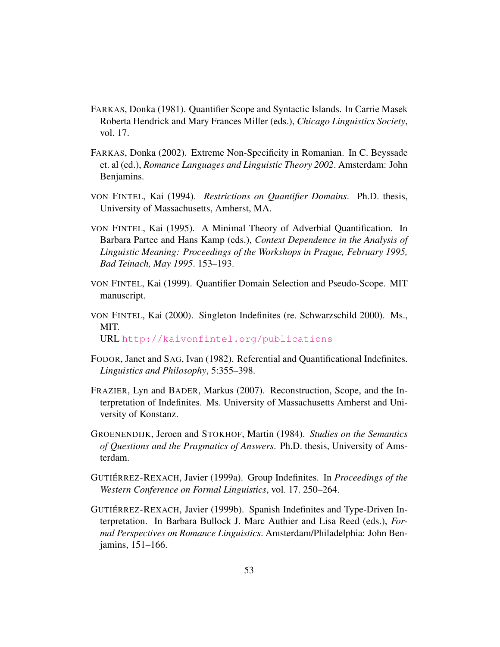- <span id="page-52-1"></span>FARKAS, Donka (1981). Quantifier Scope and Syntactic Islands. In Carrie Masek Roberta Hendrick and Mary Frances Miller (eds.), *Chicago Linguistics Society*, vol. 17.
- <span id="page-52-2"></span>FARKAS, Donka (2002). Extreme Non-Specificity in Romanian. In C. Beyssade et. al (ed.), *Romance Languages and Linguistic Theory 2002*. Amsterdam: John Benjamins.
- <span id="page-52-6"></span>VON FINTEL, Kai (1994). *Restrictions on Quantifier Domains*. Ph.D. thesis, University of Massachusetts, Amherst, MA.
- <span id="page-52-10"></span>VON FINTEL, Kai (1995). A Minimal Theory of Adverbial Quantification. In Barbara Partee and Hans Kamp (eds.), *Context Dependence in the Analysis of Linguistic Meaning: Proceedings of the Workshops in Prague, February 1995, Bad Teinach, May 1995*. 153–193.
- <span id="page-52-8"></span>VON FINTEL, Kai (1999). Quantifier Domain Selection and Pseudo-Scope. MIT manuscript.
- <span id="page-52-7"></span>VON FINTEL, Kai (2000). Singleton Indefinites (re. Schwarzschild 2000). Ms., MIT. URL <http://kaivonfintel.org/publications>
- <span id="page-52-0"></span>FODOR, Janet and SAG, Ivan (1982). Referential and Quantificational Indefinites. *Linguistics and Philosophy*, 5:355–398.
- <span id="page-52-3"></span>FRAZIER, Lyn and BADER, Markus (2007). Reconstruction, Scope, and the Interpretation of Indefinites. Ms. University of Massachusetts Amherst and University of Konstanz.
- <span id="page-52-9"></span>GROENENDIJK, Jeroen and STOKHOF, Martin (1984). *Studies on the Semantics of Questions and the Pragmatics of Answers*. Ph.D. thesis, University of Amsterdam.
- <span id="page-52-4"></span>GUTIÉRREZ-REXACH, Javier (1999a). Group Indefinites. In *Proceedings of the Western Conference on Formal Linguistics*, vol. 17. 250–264.
- <span id="page-52-5"></span>GUTIÉRREZ-REXACH, Javier (1999b). Spanish Indefinites and Type-Driven Interpretation. In Barbara Bullock J. Marc Authier and Lisa Reed (eds.), *Formal Perspectives on Romance Linguistics*. Amsterdam/Philadelphia: John Benjamins, 151–166.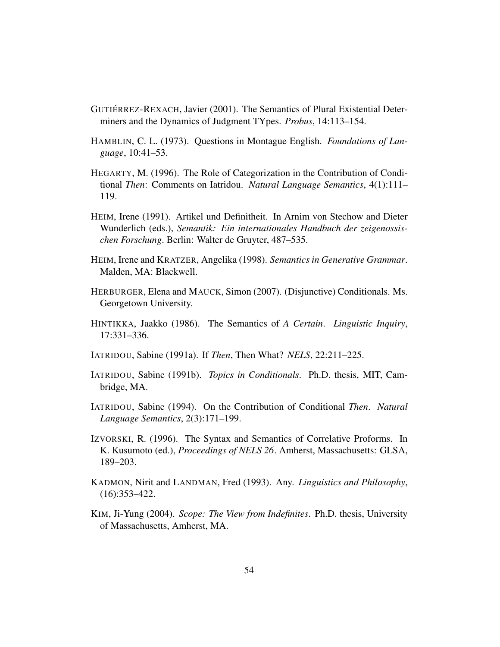- <span id="page-53-2"></span>GUTIÉRREZ-REXACH, Javier (2001). The Semantics of Plural Existential Determiners and the Dynamics of Judgment TYpes. *Probus*, 14:113–154.
- <span id="page-53-5"></span>HAMBLIN, C. L. (1973). Questions in Montague English. *Foundations of Language*, 10:41–53.
- <span id="page-53-11"></span>HEGARTY, M. (1996). The Role of Categorization in the Contribution of Conditional *Then*: Comments on Iatridou. *Natural Language Semantics*, 4(1):111– 119.
- <span id="page-53-3"></span>HEIM, Irene (1991). Artikel und Definitheit. In Arnim von Stechow and Dieter Wunderlich (eds.), *Semantik: Ein internationales Handbuch der zeigenossischen Forschung*. Berlin: Walter de Gruyter, 487–535.
- <span id="page-53-12"></span>HEIM, Irene and KRATZER, Angelika (1998). *Semantics in Generative Grammar*. Malden, MA: Blackwell.
- <span id="page-53-7"></span>HERBURGER, Elena and MAUCK, Simon (2007). (Disjunctive) Conditionals. Ms. Georgetown University.
- <span id="page-53-0"></span>HINTIKKA, Jaakko (1986). The Semantics of *A Certain*. *Linguistic Inquiry*, 17:331–336.
- <span id="page-53-9"></span>IATRIDOU, Sabine (1991a). If *Then*, Then What? *NELS*, 22:211–225.
- <span id="page-53-8"></span>IATRIDOU, Sabine (1991b). *Topics in Conditionals*. Ph.D. thesis, MIT, Cambridge, MA.
- <span id="page-53-10"></span>IATRIDOU, Sabine (1994). On the Contribution of Conditional *Then*. *Natural Language Semantics*, 2(3):171–199.
- <span id="page-53-6"></span>IZVORSKI, R. (1996). The Syntax and Semantics of Correlative Proforms. In K. Kusumoto (ed.), *Proceedings of NELS 26*. Amherst, Massachusetts: GLSA, 189–203.
- <span id="page-53-4"></span>KADMON, Nirit and LANDMAN, Fred (1993). Any. *Linguistics and Philosophy*, (16):353–422.
- <span id="page-53-1"></span>KIM, Ji-Yung (2004). *Scope: The View from Indefinites*. Ph.D. thesis, University of Massachusetts, Amherst, MA.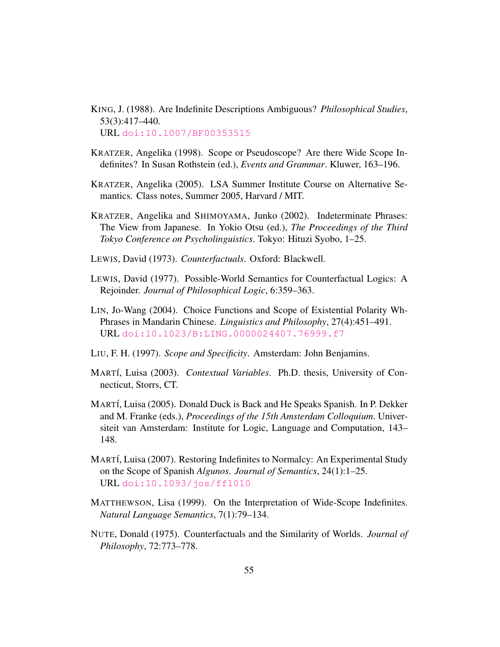- <span id="page-54-1"></span>KING, J. (1988). Are Indefinite Descriptions Ambiguous? *Philosophical Studies*, 53(3):417–440. URL [doi:10.1007/BF00353515](doi: 10.1007/BF00353515)
- <span id="page-54-2"></span>KRATZER, Angelika (1998). Scope or Pseudoscope? Are there Wide Scope Indefinites? In Susan Rothstein (ed.), *Events and Grammar*. Kluwer, 163–196.
- <span id="page-54-9"></span>KRATZER, Angelika (2005). LSA Summer Institute Course on Alternative Semantics. Class notes, Summer 2005, Harvard / MIT.
- <span id="page-54-0"></span>KRATZER, Angelika and SHIMOYAMA, Junko (2002). Indeterminate Phrases: The View from Japanese. In Yokio Otsu (ed.), *The Proceedings of the Third Tokyo Conference on Psycholinguistics*. Tokyo: Hituzi Syobo, 1–25.
- <span id="page-54-11"></span>LEWIS, David (1973). *Counterfactuals*. Oxford: Blackwell.
- <span id="page-54-12"></span>LEWIS, David (1977). Possible-World Semantics for Counterfactual Logics: A Rejoinder. *Journal of Philosophical Logic*, 6:359–363.
- <span id="page-54-5"></span>LIN, Jo-Wang (2004). Choice Functions and Scope of Existential Polarity Wh-Phrases in Mandarin Chinese. *Linguistics and Philosophy*, 27(4):451–491. URL <doi:10.1023/B:LING.0000024407.76999.f7>
- <span id="page-54-4"></span>LIU, F. H. (1997). *Scope and Specificity*. Amsterdam: John Benjamins.
- <span id="page-54-8"></span>MART´I, Luisa (2003). *Contextual Variables*. Ph.D. thesis, University of Connecticut, Storrs, CT.
- <span id="page-54-7"></span>MARTÍ, Luisa (2005). Donald Duck is Back and He Speaks Spanish. In P. Dekker and M. Franke (eds.), *Proceedings of the 15th Amsterdam Colloquium*. Universiteit van Amsterdam: Institute for Logic, Language and Computation, 143– 148.
- <span id="page-54-6"></span>MART´I, Luisa (2007). Restoring Indefinites to Normalcy: An Experimental Study on the Scope of Spanish *Algunos*. *Journal of Semantics*, 24(1):1–25. URL <doi:10.1093/jos/ffl010>
- <span id="page-54-3"></span>MATTHEWSON, Lisa (1999). On the Interpretation of Wide-Scope Indefinites. *Natural Language Semantics*, 7(1):79–134.
- <span id="page-54-10"></span>NUTE, Donald (1975). Counterfactuals and the Similarity of Worlds. *Journal of Philosophy*, 72:773–778.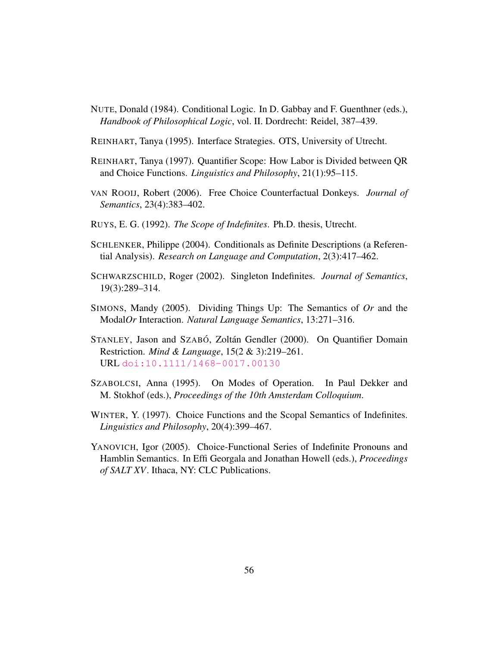- <span id="page-55-8"></span>NUTE, Donald (1984). Conditional Logic. In D. Gabbay and F. Guenthner (eds.), *Handbook of Philosophical Logic*, vol. II. Dordrecht: Reidel, 387–439.
- <span id="page-55-1"></span>REINHART, Tanya (1995). Interface Strategies. OTS, University of Utrecht.
- <span id="page-55-2"></span>REINHART, Tanya (1997). Quantifier Scope: How Labor is Divided between QR and Choice Functions. *Linguistics and Philosophy*, 21(1):95–115.
- <span id="page-55-11"></span>VAN ROOIJ, Robert (2006). Free Choice Counterfactual Donkeys. *Journal of Semantics*, 23(4):383–402.
- <span id="page-55-3"></span>RUYS, E. G. (1992). *The Scope of Indefinites*. Ph.D. thesis, Utrecht.
- <span id="page-55-9"></span>SCHLENKER, Philippe (2004). Conditionals as Definite Descriptions (a Referential Analysis). *Research on Language and Computation*, 2(3):417–462.
- <span id="page-55-0"></span>SCHWARZSCHILD, Roger (2002). Singleton Indefinites. *Journal of Semantics*, 19(3):289–314.
- <span id="page-55-10"></span>SIMONS, Mandy (2005). Dividing Things Up: The Semantics of *Or* and the Modal*Or* Interaction. *Natural Language Semantics*, 13:271–316.
- <span id="page-55-7"></span>STANLEY, Jason and SZABÓ, Zoltán Gendler (2000). On Quantifier Domain Restriction. *Mind & Language*, 15(2 & 3):219–261. URL <doi:10.1111/1468-0017.00130>
- <span id="page-55-5"></span>SZABOLCSI, Anna (1995). On Modes of Operation. In Paul Dekker and M. Stokhof (eds.), *Proceedings of the 10th Amsterdam Colloquium*.
- <span id="page-55-4"></span>WINTER, Y. (1997). Choice Functions and the Scopal Semantics of Indefinites. *Linguistics and Philosophy*, 20(4):399–467.
- <span id="page-55-6"></span>YANOVICH, Igor (2005). Choice-Functional Series of Indefinite Pronouns and Hamblin Semantics. In Effi Georgala and Jonathan Howell (eds.), *Proceedings of SALT XV*. Ithaca, NY: CLC Publications.